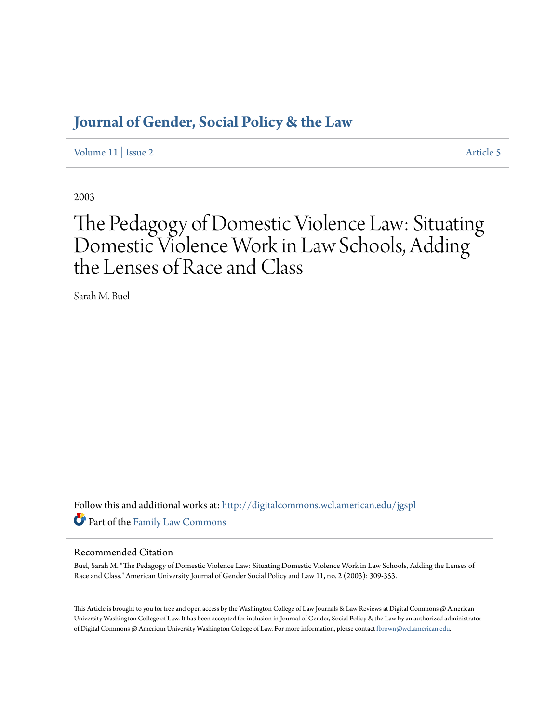# **[Journal of Gender, Social Policy & the Law](http://digitalcommons.wcl.american.edu/jgspl?utm_source=digitalcommons.wcl.american.edu%2Fjgspl%2Fvol11%2Fiss2%2F5&utm_medium=PDF&utm_campaign=PDFCoverPages)**

[Volume 11](http://digitalcommons.wcl.american.edu/jgspl/vol11?utm_source=digitalcommons.wcl.american.edu%2Fjgspl%2Fvol11%2Fiss2%2F5&utm_medium=PDF&utm_campaign=PDFCoverPages) | [Issue 2](http://digitalcommons.wcl.american.edu/jgspl/vol11/iss2?utm_source=digitalcommons.wcl.american.edu%2Fjgspl%2Fvol11%2Fiss2%2F5&utm_medium=PDF&utm_campaign=PDFCoverPages) [Article 5](http://digitalcommons.wcl.american.edu/jgspl/vol11/iss2/5?utm_source=digitalcommons.wcl.american.edu%2Fjgspl%2Fvol11%2Fiss2%2F5&utm_medium=PDF&utm_campaign=PDFCoverPages)

2003

# The Pedagogy of Domestic Violence Law: Situating Domestic Violence Work in Law Schools, Adding the Lenses of Race and Class

Sarah M. Buel

Follow this and additional works at: [http://digitalcommons.wcl.american.edu/jgspl](http://digitalcommons.wcl.american.edu/jgspl?utm_source=digitalcommons.wcl.american.edu%2Fjgspl%2Fvol11%2Fiss2%2F5&utm_medium=PDF&utm_campaign=PDFCoverPages) Part of the [Family Law Commons](http://network.bepress.com/hgg/discipline/602?utm_source=digitalcommons.wcl.american.edu%2Fjgspl%2Fvol11%2Fiss2%2F5&utm_medium=PDF&utm_campaign=PDFCoverPages)

#### Recommended Citation

Buel, Sarah M. "The Pedagogy of Domestic Violence Law: Situating Domestic Violence Work in Law Schools, Adding the Lenses of Race and Class." American University Journal of Gender Social Policy and Law 11, no. 2 (2003): 309-353.

This Article is brought to you for free and open access by the Washington College of Law Journals & Law Reviews at Digital Commons @ American University Washington College of Law. It has been accepted for inclusion in Journal of Gender, Social Policy & the Law by an authorized administrator of Digital Commons @ American University Washington College of Law. For more information, please contact [fbrown@wcl.american.edu.](mailto:fbrown@wcl.american.edu)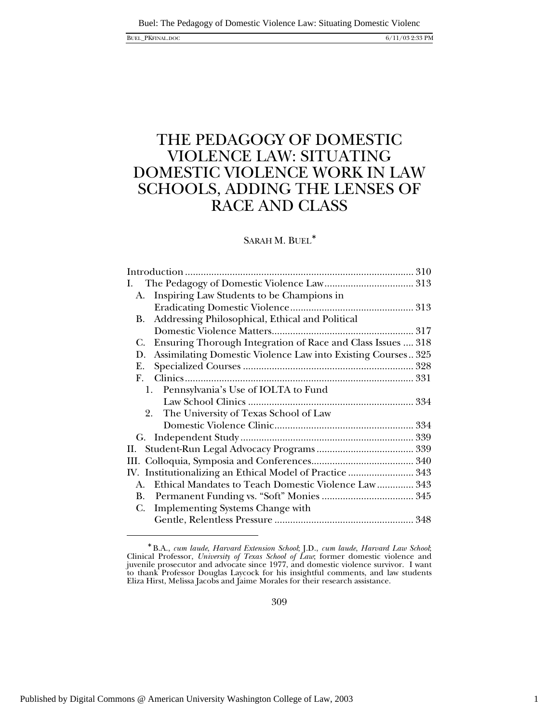| <b>BUEL PKFINAL.DOC</b> |
|-------------------------|
|                         |

## THE PEDAGOGY OF DOMESTIC VIOLENCE LAW: SITUATING DOMESTIC VIOLENCE WORK IN LAW SCHOOLS, ADDING THE LENSES OF RACE AND CLASS

### SARAH M. BUEL<sup>\*</sup>

| I.      |                                                              |  |
|---------|--------------------------------------------------------------|--|
| A.      | Inspiring Law Students to be Champions in                    |  |
|         |                                                              |  |
| В.      | Addressing Philosophical, Ethical and Political              |  |
|         |                                                              |  |
| C.      | Ensuring Thorough Integration of Race and Class Issues  318  |  |
| D.      | Assimilating Domestic Violence Law into Existing Courses 325 |  |
| Е.      |                                                              |  |
| F.      |                                                              |  |
|         | Pennsylvania's Use of IOLTA to Fund<br>1.                    |  |
|         |                                                              |  |
|         | 2. The University of Texas School of Law                     |  |
|         |                                                              |  |
|         |                                                              |  |
| Н.      |                                                              |  |
|         |                                                              |  |
|         | IV. Institutionalizing an Ethical Model of Practice  343     |  |
| $A_{-}$ | Ethical Mandates to Teach Domestic Violence Law 343          |  |
| B.      |                                                              |  |
| C.      | <b>Implementing Systems Change with</b>                      |  |
|         |                                                              |  |
|         |                                                              |  |

309

1

<sup>∗</sup> B.A., *cum laude*, *Harvard Extension School*; J.D., *cum laude*, *Harvard Law School*; Clinical Professor, *University of Texas School of Law*; former domestic violence and juvenile prosecutor and advocate since 1977, and domestic violence survivor. I want to thank Professor Douglas Laycock for his insightful comments, and law students Eliza Hirst, Melissa Jacobs and Jaime Morales for their research assistance.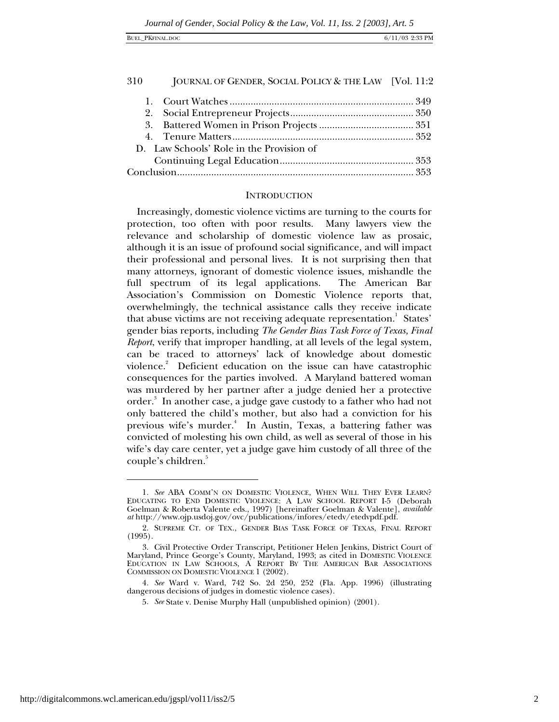| 310 | JOURNAL OF GENDER, SOCIAL POLICY & THE LAW [Vol. 11:2] |  |
|-----|--------------------------------------------------------|--|
|     |                                                        |  |
|     |                                                        |  |
|     |                                                        |  |
|     |                                                        |  |
|     | D. Law Schools' Role in the Provision of               |  |
|     |                                                        |  |
|     |                                                        |  |
|     |                                                        |  |

#### **INTRODUCTION**

Increasingly, domestic violence victims are turning to the courts for protection, too often with poor results. Many lawyers view the relevance and scholarship of domestic violence law as prosaic, although it is an issue of profound social significance, and will impact their professional and personal lives. It is not surprising then that many attorneys, ignorant of domestic violence issues, mishandle the full spectrum of its legal applications. The American Bar Association's Commission on Domestic Violence reports that, overwhelmingly, the technical assistance calls they receive indicate that abuse victims are not receiving adequate representation.<sup>1</sup> States' gender bias reports, including *The Gender Bias Task Force of Texas, Final Report*, verify that improper handling, at all levels of the legal system, can be traced to attorneys' lack of knowledge about domestic violence.<sup>2</sup> Deficient education on the issue can have catastrophic consequences for the parties involved. A Maryland battered woman was murdered by her partner after a judge denied her a protective order. $^{\mathrm{3}}$  In another case, a judge gave custody to a father who had not only battered the child's mother, but also had a conviction for his previous wife's murder.<sup>4</sup> In Austin, Texas, a battering father was convicted of molesting his own child, as well as several of those in his wife's day care center, yet a judge gave him custody of all three of the couple's children.<sup>5</sup>

<sup>1</sup>*. See* ABA COMM'N ON DOMESTIC VIOLENCE, WHEN WILL THEY EVER LEARN? EDUCATING TO END DOMESTIC VIOLENCE: A LAW SCHOOL REPORT I-5 (Deborah Goelman & Roberta Valente eds., 1997) [hereinafter Goelman & Valente], *available at* http://www.ojp.usdoj.gov/ovc/publications/infores/etedv/etedvpdf.pdf.

<sup>2.</sup> SUPREME CT. OF TEX., GENDER BIAS TASK FORCE OF TEXAS, FINAL REPORT (1995).

<sup>3.</sup> Civil Protective Order Transcript, Petitioner Helen Jenkins, District Court of Maryland, Prince George's County, Maryland, 1993; as cited in DOMESTIC VIOLENCE EDUCATION IN LAW SCHOOLS, A REPORT BY THE AMERICAN BAR ASSOCIATIONS COMMISSION ON DOMESTIC VIOLENCE 1 (2002).

<sup>4</sup>*. See* Ward v. Ward, 742 So. 2d 250, 252 (Fla. App. 1996) (illustrating dangerous decisions of judges in domestic violence cases).

<sup>5</sup>*. See* State v. Denise Murphy Hall (unpublished opinion) (2001).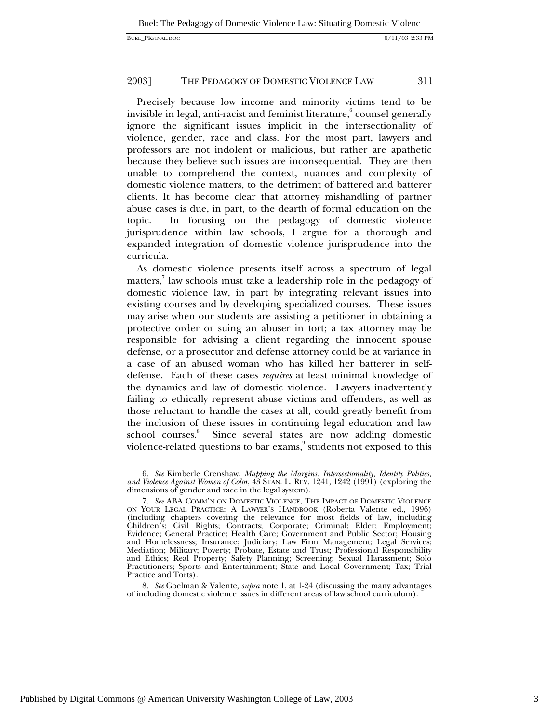-

#### 2003] THE PEDAGOGY OF DOMESTIC VIOLENCE LAW 311

Precisely because low income and minority victims tend to be invisible in legal, anti-racist and feminist literature, $^{\mathrm{6}}$  counsel generally ignore the significant issues implicit in the intersectionality of violence, gender, race and class. For the most part, lawyers and professors are not indolent or malicious, but rather are apathetic because they believe such issues are inconsequential. They are then unable to comprehend the context, nuances and complexity of domestic violence matters, to the detriment of battered and batterer clients. It has become clear that attorney mishandling of partner abuse cases is due, in part, to the dearth of formal education on the topic. In focusing on the pedagogy of domestic violence jurisprudence within law schools, I argue for a thorough and expanded integration of domestic violence jurisprudence into the curricula.

As domestic violence presents itself across a spectrum of legal matters,<sup>7</sup> law schools must take a leadership role in the pedagogy of domestic violence law, in part by integrating relevant issues into existing courses and by developing specialized courses. These issues may arise when our students are assisting a petitioner in obtaining a protective order or suing an abuser in tort; a tax attorney may be responsible for advising a client regarding the innocent spouse defense, or a prosecutor and defense attorney could be at variance in a case of an abused woman who has killed her batterer in selfdefense. Each of these cases *requires* at least minimal knowledge of the dynamics and law of domestic violence. Lawyers inadvertently failing to ethically represent abuse victims and offenders, as well as those reluctant to handle the cases at all, could greatly benefit from the inclusion of these issues in continuing legal education and law school courses.<sup>8</sup> Since several states are now adding domestic violence-related questions to bar exams, $\degree$  students not exposed to this

<sup>6</sup>*. See* Kimberle Crenshaw, *Mapping the Margins: Intersectionality, Identity Politics, and Violence Against Women of Color*, 43 STAN. L. REV. 1241, 1242 (1991) (exploring the dimensions of gender and race in the legal system).

<sup>7</sup>*. See* ABA COMM'N ON DOMESTIC VIOLENCE, THE IMPACT OF DOMESTIC VIOLENCE ON YOUR LEGAL PRACTICE: A LAWYER'S HANDBOOK (Roberta Valente ed., 1996) (including chapters covering the relevance for most fields of law, including Children's; Civil Rights; Contracts; Corporate; Criminal; Elder; Employment; Evidence; General Practice; Health Care; Government and Public Sector; Housing and Homelessness; Insurance; Judiciary; Law Firm Management; Legal Services; Mediation; Military; Poverty; Probate, Estate and Trust; Professional Responsibility and Ethics; Real Property; Safety Planning; Screening; Sexual Harassment; Solo Practitioners; Sports and Entertainment; State and Local Government; Tax; Trial Practice and Torts).

<sup>8</sup>*. See* Goelman & Valente, *supra* note 1, at 1-24 (discussing the many advantages of including domestic violence issues in different areas of law school curriculum).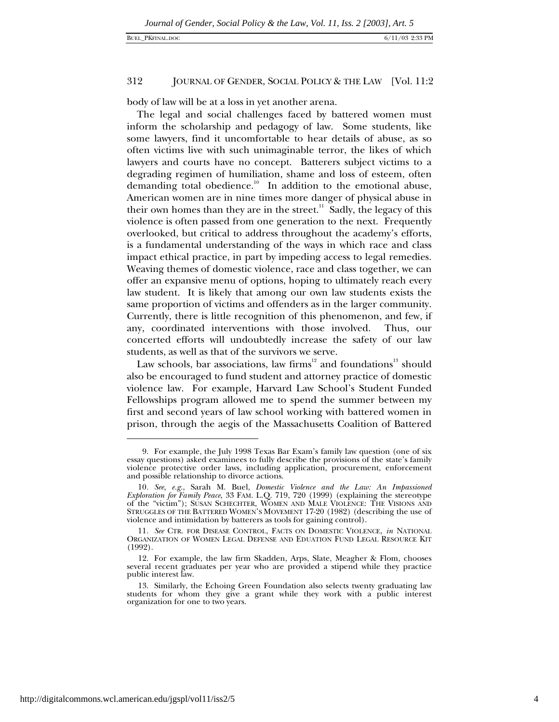body of law will be at a loss in yet another arena.

The legal and social challenges faced by battered women must inform the scholarship and pedagogy of law. Some students, like some lawyers, find it uncomfortable to hear details of abuse, as so often victims live with such unimaginable terror, the likes of which lawyers and courts have no concept. Batterers subject victims to a degrading regimen of humiliation, shame and loss of esteem, often demanding total obedience.<sup>10</sup> In addition to the emotional abuse, American women are in nine times more danger of physical abuse in their own homes than they are in the street.<sup>11</sup> Sadly, the legacy of this violence is often passed from one generation to the next. Frequently overlooked, but critical to address throughout the academy's efforts, is a fundamental understanding of the ways in which race and class impact ethical practice, in part by impeding access to legal remedies. Weaving themes of domestic violence, race and class together, we can offer an expansive menu of options, hoping to ultimately reach every law student. It is likely that among our own law students exists the same proportion of victims and offenders as in the larger community. Currently, there is little recognition of this phenomenon, and few, if any, coordinated interventions with those involved. Thus, our concerted efforts will undoubtedly increase the safety of our law students, as well as that of the survivors we serve.

Law schools, bar associations, law firms<sup>12</sup> and foundations<sup>13</sup> should also be encouraged to fund student and attorney practice of domestic violence law. For example, Harvard Law School's Student Funded Fellowships program allowed me to spend the summer between my first and second years of law school working with battered women in prison, through the aegis of the Massachusetts Coalition of Battered

<sup>9.</sup> For example, the July 1998 Texas Bar Exam's family law question (one of six essay questions) asked examinees to fully describe the provisions of the state's family violence protective order laws, including application, procurement, enforcement and possible relationship to divorce actions.

<sup>10</sup>*. See, e.g.*, Sarah M. Buel, *Domestic Violence and the Law: An Impassioned Exploration for Family Peace*, 33 FAM. L.Q. 719, 720 (1999) (explaining the stereotype of the "victim"); SUSAN SCHECHTER, WOMEN AND MALE VIOLENCE: THE VISIONS AND STRUGGLES OF THE BATTERED WOMEN'S MOVEMENT 17-20 (1982) (describing the use of violence and intimidation by batterers as tools for gaining control).

<sup>11</sup>*. See* CTR. FOR DISEASE CONTROL, FACTS ON DOMESTIC VIOLENCE, *in* NATIONAL ORGANIZATION OF WOMEN LEGAL DEFENSE AND EDUATION FUND LEGAL RESOURCE KIT (1992).

<sup>12.</sup> For example, the law firm Skadden, Arps, Slate, Meagher & Flom, chooses several recent graduates per year who are provided a stipend while they practice public interest law.

<sup>13.</sup> Similarly, the Echoing Green Foundation also selects twenty graduating law students for whom they give a grant while they work with a public interest organization for one to two years.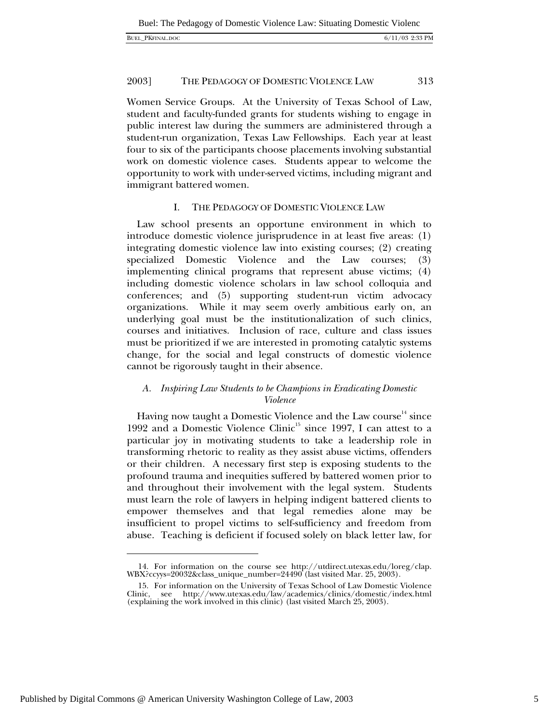|  | <b>BUEL PKFINAL, DOC</b> |
|--|--------------------------|
|--|--------------------------|

Women Service Groups. At the University of Texas School of Law, student and faculty-funded grants for students wishing to engage in public interest law during the summers are administered through a student-run organization, Texas Law Fellowships. Each year at least four to six of the participants choose placements involving substantial work on domestic violence cases. Students appear to welcome the opportunity to work with under-served victims, including migrant and immigrant battered women.

#### I. THE PEDAGOGY OF DOMESTIC VIOLENCE LAW

Law school presents an opportune environment in which to introduce domestic violence jurisprudence in at least five areas: (1) integrating domestic violence law into existing courses; (2) creating specialized Domestic Violence and the Law courses; (3) implementing clinical programs that represent abuse victims; (4) including domestic violence scholars in law school colloquia and conferences; and (5) supporting student-run victim advocacy organizations. While it may seem overly ambitious early on, an underlying goal must be the institutionalization of such clinics, courses and initiatives. Inclusion of race, culture and class issues must be prioritized if we are interested in promoting catalytic systems change, for the social and legal constructs of domestic violence cannot be rigorously taught in their absence.

### *A. Inspiring Law Students to be Champions in Eradicating Domestic Violence*

Having now taught a Domestic Violence and the Law course<sup>14</sup> since 1992 and a Domestic Violence Clinic<sup>15</sup> since 1997, I can attest to a particular joy in motivating students to take a leadership role in transforming rhetoric to reality as they assist abuse victims, offenders or their children. A necessary first step is exposing students to the profound trauma and inequities suffered by battered women prior to and throughout their involvement with the legal system. Students must learn the role of lawyers in helping indigent battered clients to empower themselves and that legal remedies alone may be insufficient to propel victims to self-sufficiency and freedom from abuse. Teaching is deficient if focused solely on black letter law, for

<sup>14.</sup> For information on the course see http://utdirect.utexas.edu/loreg/clap. WBX?ccyys=20032&class\_unique\_number=24490 (last visited Mar. 25, 2003).

<sup>15.</sup> For information on the University of Texas School of Law Domestic Violence Clinic, see http://www.utexas.edu/law/academics/clinics/domestic/index.html (explaining the work involved in this clinic) (last visited March 25, 2003).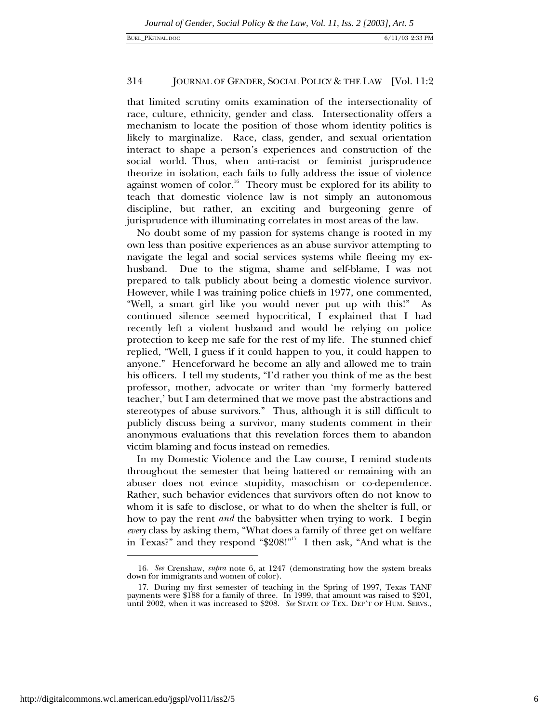that limited scrutiny omits examination of the intersectionality of race, culture, ethnicity, gender and class. Intersectionality offers a mechanism to locate the position of those whom identity politics is likely to marginalize. Race, class, gender, and sexual orientation interact to shape a person's experiences and construction of the social world. Thus, when anti-racist or feminist jurisprudence theorize in isolation, each fails to fully address the issue of violence against women of color.<sup>16</sup> Theory must be explored for its ability to teach that domestic violence law is not simply an autonomous discipline, but rather, an exciting and burgeoning genre of jurisprudence with illuminating correlates in most areas of the law.

No doubt some of my passion for systems change is rooted in my own less than positive experiences as an abuse survivor attempting to navigate the legal and social services systems while fleeing my exhusband. Due to the stigma, shame and self-blame, I was not prepared to talk publicly about being a domestic violence survivor. However, while I was training police chiefs in 1977, one commented, "Well, a smart girl like you would never put up with this!" As continued silence seemed hypocritical, I explained that I had recently left a violent husband and would be relying on police protection to keep me safe for the rest of my life. The stunned chief replied, "Well, I guess if it could happen to you, it could happen to anyone." Henceforward he become an ally and allowed me to train his officers. I tell my students, "I'd rather you think of me as the best professor, mother, advocate or writer than 'my formerly battered teacher,' but I am determined that we move past the abstractions and stereotypes of abuse survivors." Thus, although it is still difficult to publicly discuss being a survivor, many students comment in their anonymous evaluations that this revelation forces them to abandon victim blaming and focus instead on remedies.

In my Domestic Violence and the Law course, I remind students throughout the semester that being battered or remaining with an abuser does not evince stupidity, masochism or co-dependence. Rather, such behavior evidences that survivors often do not know to whom it is safe to disclose, or what to do when the shelter is full, or how to pay the rent *and* the babysitter when trying to work. I begin *every* class by asking them, "What does a family of three get on welfare in Texas?" and they respond " $208!$ " I then ask, "And what is the

-

<sup>16</sup>*. See* Crenshaw, *supra* note 6, at 1247 (demonstrating how the system breaks down for immigrants and women of color).

<sup>17.</sup> During my first semester of teaching in the Spring of 1997, Texas TANF payments were \$188 for a family of three. In 1999, that amount was raised to \$201, until 2002, when it was increased to \$208. *See* STATE OF TEX. DEP'T OF HUM. SERVS.,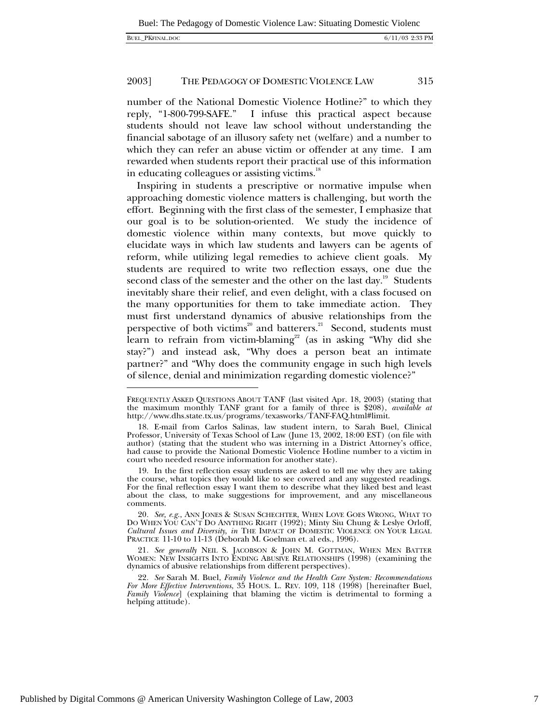|  | <b>BUEL PKFINAL.DOG</b> |
|--|-------------------------|
|--|-------------------------|

1

#### 2003] THE PEDAGOGY OF DOMESTIC VIOLENCE LAW 315

number of the National Domestic Violence Hotline?" to which they reply, "1-800-799-SAFE." I infuse this practical aspect because students should not leave law school without understanding the financial sabotage of an illusory safety net (welfare) and a number to which they can refer an abuse victim or offender at any time. I am rewarded when students report their practical use of this information in educating colleagues or assisting victims.<sup>18</sup>

Inspiring in students a prescriptive or normative impulse when approaching domestic violence matters is challenging, but worth the effort. Beginning with the first class of the semester, I emphasize that our goal is to be solution-oriented. We study the incidence of domestic violence within many contexts, but move quickly to elucidate ways in which law students and lawyers can be agents of reform, while utilizing legal remedies to achieve client goals. My students are required to write two reflection essays, one due the second class of the semester and the other on the last day.<sup>19</sup> Students inevitably share their relief, and even delight, with a class focused on the many opportunities for them to take immediate action. They must first understand dynamics of abusive relationships from the perspective of both victims<sup>20</sup> and batterers.<sup>21</sup> Second, students must learn to refrain from victim-blaming<sup>22</sup> (as in asking "Why did she stay?") and instead ask, "Why does a person beat an intimate partner?" and "Why does the community engage in such high levels of silence, denial and minimization regarding domestic violence?"

21*. See generally* NEIL S. JACOBSON & JOHN M. GOTTMAN, WHEN MEN BATTER WOMEN: NEW INSIGHTS INTO ENDING ABUSIVE RELATIONSHIPS (1998) (examining the dynamics of abusive relationships from different perspectives).

FREQUENTLY ASKED QUESTIONS ABOUT TANF (last visited Apr. 18, 2003) (stating that the maximum monthly TANF grant for a family of three is \$208), *available at* http://www.dhs.state.tx.us/programs/texasworks/TANF-FAQ.html#limit.

<sup>18.</sup> E-mail from Carlos Salinas, law student intern, to Sarah Buel, Clinical Professor, University of Texas School of Law (June 13, 2002, 18:00 EST) (on file with author) (stating that the student who was interning in a District Attorney's office, had cause to provide the National Domestic Violence Hotline number to a victim in court who needed resource information for another state).

<sup>19.</sup> In the first reflection essay students are asked to tell me why they are taking the course, what topics they would like to see covered and any suggested readings. For the final reflection essay I want them to describe what they liked best and least about the class, to make suggestions for improvement, and any miscellaneous comments.

<sup>20</sup>*. See, e.g.*, ANN JONES & SUSAN SCHECHTER, WHEN LOVE GOES WRONG, WHAT TO DO WHEN YOU CAN'T DO ANYTHING RIGHT (1992); Minty Siu Chung & Leslye Orloff, *Cultural Issues and Diversity*, *in* THE IMPACT OF DOMESTIC VIOLENCE ON YOUR LEGAL PRACTICE 11-10 to 11-13 (Deborah M. Goelman et. al eds., 1996).

<sup>22</sup>*. See* Sarah M. Buel, *Family Violence and the Health Care System: Recommendations For More Effective Interventions*, 35 HOUS. L. REV. 109, 118 (1998) [hereinafter Buel, *Family Violence*] (explaining that blaming the victim is detrimental to forming a helping attitude).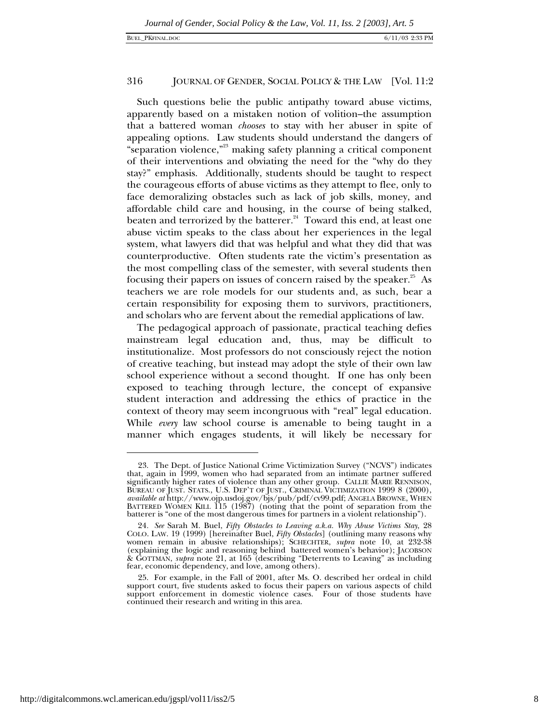Such questions belie the public antipathy toward abuse victims, apparently based on a mistaken notion of volition–the assumption that a battered woman *chooses* to stay with her abuser in spite of appealing options. Law students should understand the dangers of "separation violence,"23 making safety planning a critical component of their interventions and obviating the need for the "why do they stay?" emphasis. Additionally, students should be taught to respect the courageous efforts of abuse victims as they attempt to flee, only to face demoralizing obstacles such as lack of job skills, money, and affordable child care and housing, in the course of being stalked, beaten and terrorized by the batterer. $24$  Toward this end, at least one abuse victim speaks to the class about her experiences in the legal system, what lawyers did that was helpful and what they did that was counterproductive. Often students rate the victim's presentation as the most compelling class of the semester, with several students then focusing their papers on issues of concern raised by the speaker.<sup>25</sup> As teachers we are role models for our students and, as such, bear a certain responsibility for exposing them to survivors, practitioners, and scholars who are fervent about the remedial applications of law.

The pedagogical approach of passionate, practical teaching defies mainstream legal education and, thus, may be difficult to institutionalize. Most professors do not consciously reject the notion of creative teaching, but instead may adopt the style of their own law school experience without a second thought. If one has only been exposed to teaching through lecture, the concept of expansive student interaction and addressing the ethics of practice in the context of theory may seem incongruous with "real" legal education. While *every* law school course is amenable to being taught in a manner which engages students, it will likely be necessary for

<sup>23.</sup> The Dept. of Justice National Crime Victimization Survey ("NCVS") indicates that, again in 1999, women who had separated from an intimate partner suffered significantly higher rates of violence than any other group. CALLIE MARIE RENNISON, BUREAU OF JUST. STATS., U.S. DEP'T OF JUST., CRIMINAL VICTIMIZATION 1999 8 (2000), *available at* http://www.ojp.usdoj.gov/bjs/pub/pdf/cv99.pdf; ANGELA BROWNE, WHEN BATTERED WOMEN KILL 115 (1987) (noting that the point of separation from the batterer is "one of the most dangerous times for partners in a violent relationship").

<sup>24</sup>*. See* Sarah M. Buel, *Fifty Obstacles to Leaving a.k.a. Why Abuse Victims Stay*, 28 COLO. LAW. 19 (1999) [hereinafter Buel, *Fifty Obstacles*] (outlining many reasons why women remain in abusive relationships); SCHECHTER, *supra* note 10, at 232-38 (explaining the logic and reasoning behind battered women's behavior); JACOBSON & GOTTMAN, *supra* note 21, at 165 (describing "Deterrents to Leaving" as including fear, economic dependency, and love, among others).

<sup>25.</sup> For example, in the Fall of 2001, after Ms. O. described her ordeal in child support court, five students asked to focus their papers on various aspects of child support enforcement in domestic violence cases. Four of those students have continued their research and writing in this area.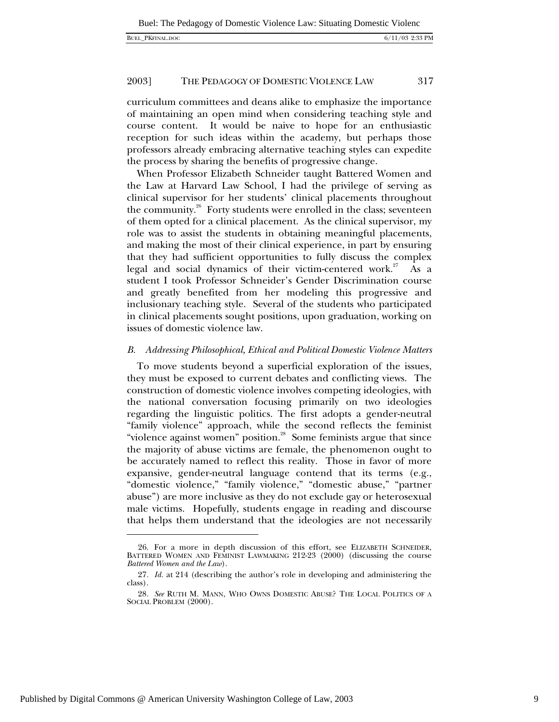curriculum committees and deans alike to emphasize the importance of maintaining an open mind when considering teaching style and course content. It would be naive to hope for an enthusiastic reception for such ideas within the academy, but perhaps those professors already embracing alternative teaching styles can expedite the process by sharing the benefits of progressive change.

When Professor Elizabeth Schneider taught Battered Women and the Law at Harvard Law School, I had the privilege of serving as clinical supervisor for her students' clinical placements throughout the community. $26$  Forty students were enrolled in the class; seventeen of them opted for a clinical placement. As the clinical supervisor, my role was to assist the students in obtaining meaningful placements, and making the most of their clinical experience, in part by ensuring that they had sufficient opportunities to fully discuss the complex legal and social dynamics of their victim-centered work.<sup>27</sup> As a student I took Professor Schneider's Gender Discrimination course and greatly benefited from her modeling this progressive and inclusionary teaching style.Several of the students who participated in clinical placements sought positions, upon graduation, working on issues of domestic violence law.

#### *B. Addressing Philosophical, Ethical and Political Domestic Violence Matters*

To move students beyond a superficial exploration of the issues, they must be exposed to current debates and conflicting views. The construction of domestic violence involves competing ideologies, with the national conversation focusing primarily on two ideologies regarding the linguistic politics. The first adopts a gender-neutral "family violence" approach, while the second reflects the feminist "violence against women" position.<sup>28</sup> Some feminists argue that since the majority of abuse victims are female, the phenomenon ought to be accurately named to reflect this reality. Those in favor of more expansive, gender-neutral language contend that its terms (e.g., "domestic violence," "family violence," "domestic abuse," "partner abuse") are more inclusive as they do not exclude gay or heterosexual male victims. Hopefully, students engage in reading and discourse that helps them understand that the ideologies are not necessarily

<sup>26.</sup> For a more in depth discussion of this effort, see ELIZABETH SCHNEIDER, BATTERED WOMEN AND FEMINIST LAWMAKING 212-23 (2000) (discussing the course *Battered Women and the Law*).

<sup>27</sup>*. Id.* at 214 (describing the author's role in developing and administering the class).

<sup>28</sup>*. See* RUTH M. MANN, WHO OWNS DOMESTIC ABUSE? THE LOCAL POLITICS OF A SOCIAL PROBLEM (2000).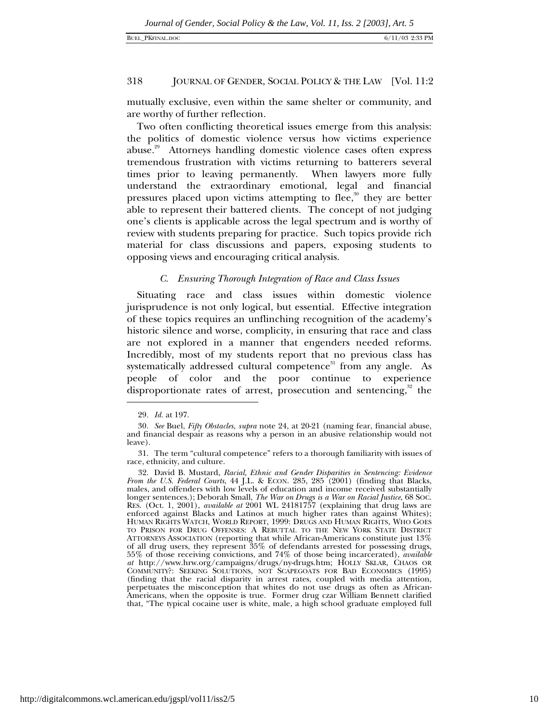mutually exclusive, even within the same shelter or community, and are worthy of further reflection.

Two often conflicting theoretical issues emerge from this analysis: the politics of domestic violence versus how victims experience abuse.<sup>29</sup> Attorneys handling domestic violence cases often express tremendous frustration with victims returning to batterers several times prior to leaving permanently. When lawyers more fully understand the extraordinary emotional, legal and financial pressures placed upon victims attempting to flee,<sup>30</sup> they are better able to represent their battered clients. The concept of not judging one's clients is applicable across the legal spectrum and is worthy of review with students preparing for practice. Such topics provide rich material for class discussions and papers, exposing students to opposing views and encouraging critical analysis.

#### *C. Ensuring Thorough Integration of Race and Class Issues*

Situating race and class issues within domestic violence jurisprudence is not only logical, but essential. Effective integration of these topics requires an unflinching recognition of the academy's historic silence and worse, complicity, in ensuring that race and class are not explored in a manner that engenders needed reforms. Incredibly, most of my students report that no previous class has systematically addressed cultural competence $31$  from any angle. As people of color and the poor continue to experience disproportionate rates of arrest, prosecution and sentencing, $32$  the

-

<sup>29</sup>*. Id.* at 197.

<sup>30</sup>*. See* Buel, *Fifty Obstacles*, *supra* note 24, at 20-21 (naming fear, financial abuse, and financial despair as reasons why a person in an abusive relationship would not leave).

<sup>31.</sup> The term "cultural competence" refers to a thorough familiarity with issues of race, ethnicity, and culture.

<sup>32.</sup> David B. Mustard, *Racial, Ethnic and Gender Disparities in Sentencing: Evidence From the U.S. Federal Courts*, 44 J.L. & ECON. 285, 285 (2001) (finding that Blacks, males, and offenders with low levels of education and income received substantially longer sentences.); Deborah Small, *The War on Drugs is a War on Racial Justice*, 68 Soc. RES. (Oct. 1, 2001), *available at* 2001 WL 24181757 (explaining that drug laws are enforced against Blacks and Latinos at much higher rates than against Whites); HUMAN RIGHTS WATCH, WORLD REPORT, 1999: DRUGS AND HUMAN RIGHTS, WHO GOES TO PRISON FOR DRUG OFFENSES: A REBUTTAL TO THE NEW YORK STATE DISTRICT ATTORNEYS ASSOCIATION (reporting that while African-Americans constitute just 13% of all drug users, they represent 35% of defendants arrested for possessing drugs, 55% of those receiving convictions, and 74% of those being incarcerated), *available at* http://www.hrw.org/campaigns/drugs/ny-drugs.htm; HOLLY SKLAR, CHAOS OR COMMUNITY?: SEEKING SOLUTIONS, NOT SCAPEGOATS FOR BAD ECONOMICS (1995) (finding that the racial disparity in arrest rates, coupled with media attention, perpetuates the misconception that whites do not use drugs as often as African-Americans, when the opposite is true. Former drug czar William Bennett clarified that, "The typical cocaine user is white, male, a high school graduate employed full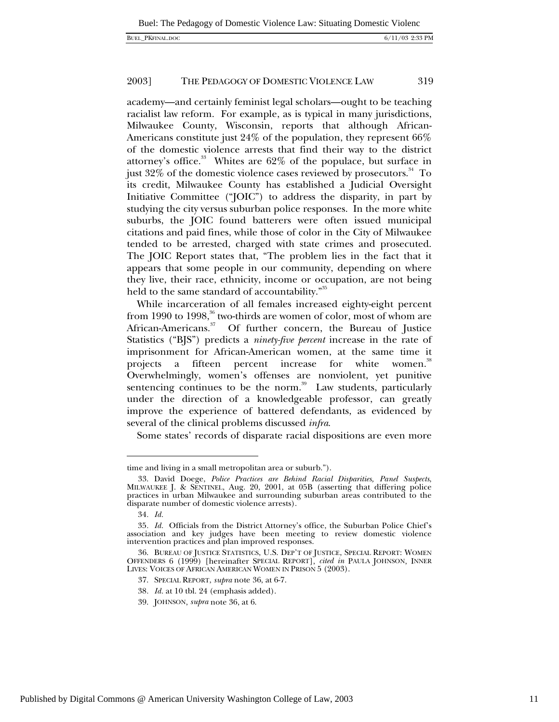academy—and certainly feminist legal scholars—ought to be teaching racialist law reform. For example, as is typical in many jurisdictions, Milwaukee County, Wisconsin, reports that although African-Americans constitute just 24% of the population, they represent 66% of the domestic violence arrests that find their way to the district attorney's office.<sup>33</sup> Whites are  $62\%$  of the populace, but surface in just  $32\%$  of the domestic violence cases reviewed by prosecutors.<sup>34</sup> To its credit, Milwaukee County has established a Judicial Oversight Initiative Committee ("JOIC") to address the disparity, in part by studying the city versus suburban police responses. In the more white suburbs, the JOIC found batterers were often issued municipal citations and paid fines, while those of color in the City of Milwaukee tended to be arrested, charged with state crimes and prosecuted. The JOIC Report states that, "The problem lies in the fact that it appears that some people in our community, depending on where they live, their race, ethnicity, income or occupation, are not being held to the same standard of accountability."<sup>35</sup>

While incarceration of all females increased eighty-eight percent from 1990 to 1998, $^{36}$  two-thirds are women of color, most of whom are African-Americans.<sup>37</sup> Of further concern, the Bureau of Justice Statistics ("BJS") predicts a *ninety-five percent* increase in the rate of imprisonment for African-American women, at the same time it projects a fifteen percent increase for white women.<sup>38</sup> Overwhelmingly, women's offenses are nonviolent, yet punitive sentencing continues to be the norm.<sup>39</sup> Law students, particularly under the direction of a knowledgeable professor, can greatly improve the experience of battered defendants, as evidenced by several of the clinical problems discussed *infra*.

Some states' records of disparate racial dispositions are even more

1

time and living in a small metropolitan area or suburb.").

<sup>33.</sup> David Doege, *Police Practices are Behind Racial Disparities, Panel Suspects*, MILWAUKEE J. & SENTINEL, Aug. 20, 2001, at 05B (asserting that differing police practices in urban Milwaukee and surrounding suburban areas contributed to the disparate number of domestic violence arrests).

<sup>34</sup>*. Id.*

<sup>35</sup>*. Id.* Officials from the District Attorney's office, the Suburban Police Chief's association and key judges have been meeting to review domestic violence intervention practices and plan improved responses.

<sup>36.</sup> BUREAU OF JUSTICE STATISTICS, U.S. DEP'T OF JUSTICE, SPECIAL REPORT: WOMEN OFFENDERS 6 (1999) [hereinafter SPECIAL REPORT], *cited in* PAULA JOHNSON, INNER LIVES: VOICES OF AFRICAN AMERICAN WOMEN IN PRISON 5 (2003).

<sup>37.</sup> SPECIAL REPORT, *supra* note 36, at 6-7.

<sup>38</sup>*. Id.* at 10 tbl. 24 (emphasis added).

<sup>39.</sup> JOHNSON, *supra* note 36, at 6.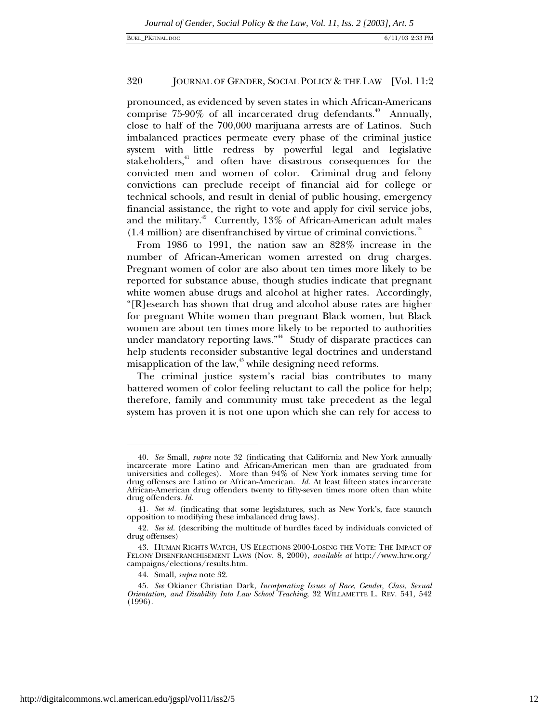pronounced, as evidenced by seven states in which African-Americans comprise  $75-90\%$  of all incarcerated drug defendants.<sup>40</sup> Annually, close to half of the 700,000 marijuana arrests are of Latinos. Such imbalanced practices permeate every phase of the criminal justice system with little redress by powerful legal and legislative stakeholders,<sup>41</sup> and often have disastrous consequences for the convicted men and women of color. Criminal drug and felony convictions can preclude receipt of financial aid for college or technical schools, and result in denial of public housing, emergency financial assistance, the right to vote and apply for civil service jobs, and the military.<sup>42</sup> Currently,  $13\%$  of African-American adult males  $(1.4 \text{ million})$  are disenfranchised by virtue of criminal convictions.<sup>43</sup>

From 1986 to 1991, the nation saw an 828% increase in the number of African-American women arrested on drug charges. Pregnant women of color are also about ten times more likely to be reported for substance abuse, though studies indicate that pregnant white women abuse drugs and alcohol at higher rates. Accordingly, "[R]esearch has shown that drug and alcohol abuse rates are higher for pregnant White women than pregnant Black women, but Black women are about ten times more likely to be reported to authorities under mandatory reporting laws."<sup>44</sup> Study of disparate practices can help students reconsider substantive legal doctrines and understand misapplication of the law, $45$  while designing need reforms.

The criminal justice system's racial bias contributes to many battered women of color feeling reluctant to call the police for help; therefore, family and community must take precedent as the legal system has proven it is not one upon which she can rely for access to

<sup>40</sup>*. See* Small, *supra* note 32 (indicating that California and New York annually incarcerate more Latino and African-American men than are graduated from universities and colleges). More than 94% of New York inmates serving time for drug offenses are Latino or African-American. *Id.* At least fifteen states incarcerate African-American drug offenders twenty to fifty-seven times more often than white drug offenders. *Id.*

<sup>41</sup>*. See id.* (indicating that some legislatures, such as New York's, face staunch opposition to modifying these imbalanced drug laws).

<sup>42</sup>*. See id.* (describing the multitude of hurdles faced by individuals convicted of drug offenses)

<sup>43.</sup> HUMAN RIGHTS WATCH, US ELECTIONS 2000-LOSING THE VOTE: THE IMPACT OF FELONY DISENFRANCHISEMENT LAWS (Nov. 8, 2000), *available at* http://www.hrw.org/ campaigns/elections/results.htm.

<sup>44.</sup> Small, *supra* note 32.

<sup>45</sup>*. See* Okianer Christian Dark, *Incorporating Issues of Race, Gender, Class, Sexual Orientation, and Disability Into Law School Teaching*, 32 WILLAMETTE L. REV. 541, 542 (1996).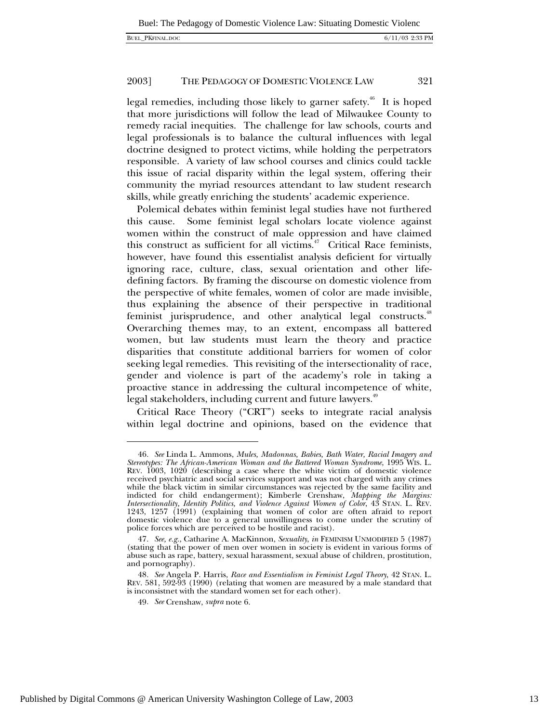legal remedies, including those likely to garner safety.<sup> $46$ </sup> It is hoped that more jurisdictions will follow the lead of Milwaukee County to remedy racial inequities. The challenge for law schools, courts and legal professionals is to balance the cultural influences with legal doctrine designed to protect victims, while holding the perpetrators responsible. A variety of law school courses and clinics could tackle this issue of racial disparity within the legal system, offering their community the myriad resources attendant to law student research skills, while greatly enriching the students' academic experience.

Polemical debates within feminist legal studies have not furthered this cause. Some feminist legal scholars locate violence against women within the construct of male oppression and have claimed this construct as sufficient for all victims. $47$  Critical Race feminists, however, have found this essentialist analysis deficient for virtually ignoring race, culture, class, sexual orientation and other lifedefining factors. By framing the discourse on domestic violence from the perspective of white females, women of color are made invisible, thus explaining the absence of their perspective in traditional feminist jurisprudence, and other analytical legal constructs.<sup>48</sup> Overarching themes may, to an extent, encompass all battered women, but law students must learn the theory and practice disparities that constitute additional barriers for women of color seeking legal remedies. This revisiting of the intersectionality of race, gender and violence is part of the academy's role in taking a proactive stance in addressing the cultural incompetence of white, legal stakeholders, including current and future lawyers.<sup>49</sup>

Critical Race Theory ("CRT") seeks to integrate racial analysis within legal doctrine and opinions, based on the evidence that

<sup>46</sup>*. See* Linda L. Ammons, *Mules, Madonnas, Babies, Bath Water, Racial Imagery and Stereotypes: The African-American Woman and the Battered Woman Syndrome*, 1995 WIS. L. REV. 1003, 1020 (describing a case where the white victim of domestic violence received psychiatric and social services support and was not charged with any crimes while the black victim in similar circumstances was rejected by the same facility and indicted for child endangerment); Kimberle Crenshaw, *Mapping the Margins: Intersectionality, Identity Politics, and Violence Against Women of Color*, 43 STAN. L. REV. 1243, 1257 (1991) (explaining that women of color are often afraid to report domestic violence due to a general unwillingness to come under the scrutiny of police forces which are perceived to be hostile and racist).

<sup>47</sup>*. See, e.g.*, Catharine A. MacKinnon, *Sexuality*, *in* FEMINISM UNMODIFIED 5 (1987) (stating that the power of men over women in society is evident in various forms of abuse such as rape, battery, sexual harassment, sexual abuse of children, prostitution, and pornography).

<sup>48</sup>*. See* Angela P. Harris, *Race and Essentialism in Feminist Legal Theory*, 42 STAN. L. REV. 581, 592-93 (1990) (relating that women are measured by a male standard that is inconsistnet with the standard women set for each other).

<sup>49</sup>*. See* Crenshaw, *supra* note 6.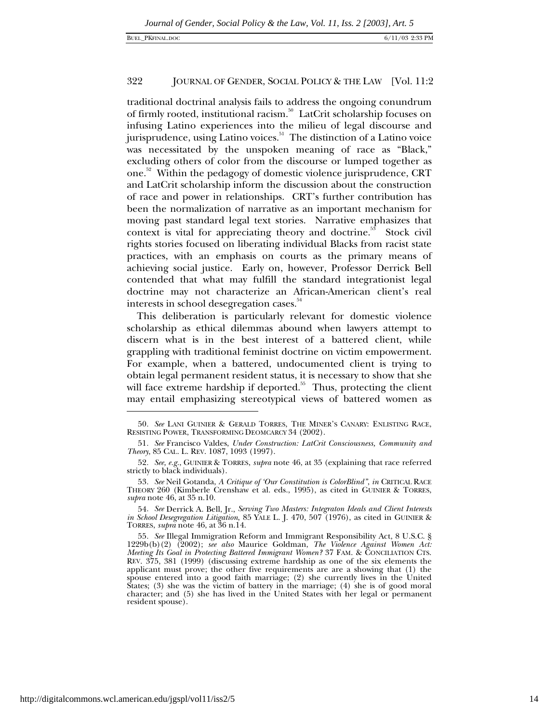traditional doctrinal analysis fails to address the ongoing conundrum of firmly rooted, institutional racism.<sup>50</sup> LatCrit scholarship focuses on infusing Latino experiences into the milieu of legal discourse and jurisprudence, using Latino voices.<sup>51</sup> The distinction of a Latino voice was necessitated by the unspoken meaning of race as "Black," excluding others of color from the discourse or lumped together as one.<sup>52</sup> Within the pedagogy of domestic violence jurisprudence, CRT and LatCrit scholarship inform the discussion about the construction of race and power in relationships. CRT's further contribution has been the normalization of narrative as an important mechanism for moving past standard legal text stories. Narrative emphasizes that context is vital for appreciating theory and doctrine.<sup>53</sup> Stock civil rights stories focused on liberating individual Blacks from racist state practices, with an emphasis on courts as the primary means of achieving social justice. Early on, however, Professor Derrick Bell contended that what may fulfill the standard integrationist legal doctrine may not characterize an African-American client's real interests in school desegregation cases.<sup>54</sup>

This deliberation is particularly relevant for domestic violence scholarship as ethical dilemmas abound when lawyers attempt to discern what is in the best interest of a battered client, while grappling with traditional feminist doctrine on victim empowerment. For example, when a battered, undocumented client is trying to obtain legal permanent resident status, it is necessary to show that she will face extreme hardship if deported.<sup>55</sup> Thus, protecting the client may entail emphasizing stereotypical views of battered women as

<sup>50</sup>*. See* LANI GUINIER & GERALD TORRES, THE MINER'S CANARY: ENLISTING RACE, RESISTING POWER, TRANSFORMING DEOMCARCY 34 (2002).

<sup>51</sup>*. See* Francisco Valdes, *Under Construction: LatCrit Consciousness, Community and Theory*, 85 CAL. L. REV. 1087, 1093 (1997).

<sup>52</sup>*. See, e.g.*, GUINIER & TORRES, *supra* note 46, at 35 (explaining that race referred strictly to black individuals).

<sup>53</sup>*. See* Neil Gotanda, *A Critique of 'Our Constitution is ColorBlind"*, *in* CRITICAL RACE THEORY 260 (Kimberle Crenshaw et al. eds., 1995), as cited in GUINIER & TORRES, *supra* note 46, at 35 n.10.

<sup>54</sup>*. See* Derrick A. Bell, Jr., *Serving Two Masters: Integraton Ideals and Client Interests in School Desegregation Litigation*, 85 YALE L. J. 470, 507 (1976), as cited in GUINIER & TORRES, *supra* note 46, at 36 n.14.

<sup>55</sup>*. See* Illegal Immigration Reform and Immigrant Responsibility Act, 8 U.S.C. § 1229b(b)(2) (2002); *see also* Maurice Goldman, *The Violence Against Women Act: Meeting Its Goal in Protecting Battered Immigrant Women?* 37 FAM. & CONCILIATION CTS. REV. 375, 381 (1999) (discussing extreme hardship as one of the six elements the applicant must prove; the other five requirements are are a showing that (1) the spouse entered into a good faith marriage; (2) she currently lives in the United States; (3) she was the victim of battery in the marriage; (4) she is of good moral character; and (5) she has lived in the United States with her legal or permanent resident spouse).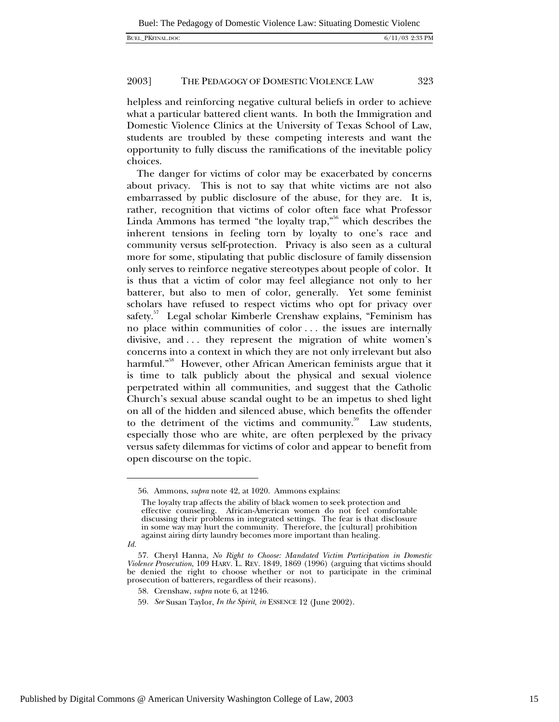helpless and reinforcing negative cultural beliefs in order to achieve what a particular battered client wants. In both the Immigration and Domestic Violence Clinics at the University of Texas School of Law, students are troubled by these competing interests and want the opportunity to fully discuss the ramifications of the inevitable policy choices.

The danger for victims of color may be exacerbated by concerns about privacy. This is not to say that white victims are not also embarrassed by public disclosure of the abuse, for they are. It is, rather, recognition that victims of color often face what Professor Linda Ammons has termed "the loyalty trap," $56$  which describes the inherent tensions in feeling torn by loyalty to one's race and community versus self-protection. Privacy is also seen as a cultural more for some, stipulating that public disclosure of family dissension only serves to reinforce negative stereotypes about people of color. It is thus that a victim of color may feel allegiance not only to her batterer, but also to men of color, generally. Yet some feminist scholars have refused to respect victims who opt for privacy over safety.<sup>57</sup> Legal scholar Kimberle Crenshaw explains, "Feminism has no place within communities of color . . . the issues are internally divisive, and . . . they represent the migration of white women's concerns into a context in which they are not only irrelevant but also harmful."<sup>58</sup> However, other African American feminists argue that it is time to talk publicly about the physical and sexual violence perpetrated within all communities, and suggest that the Catholic Church's sexual abuse scandal ought to be an impetus to shed light on all of the hidden and silenced abuse, which benefits the offender to the detriment of the victims and community.<sup>59</sup> Law students, especially those who are white, are often perplexed by the privacy versus safety dilemmas for victims of color and appear to benefit from open discourse on the topic.

1

<sup>56.</sup> Ammons, *supra* note 42, at 1020. Ammons explains:

The loyalty trap affects the ability of black women to seek protection and effective counseling. African-American women do not feel comfortable discussing their problems in integrated settings. The fear is that disclosure in some way may hurt the community. Therefore, the [cultural] prohibition against airing dirty laundry becomes more important than healing.

*Id.*

<sup>57.</sup> Cheryl Hanna, *No Right to Choose: Mandated Victim Participation in Domestic Violence Prosecution*, 109 HARV. L. REV. 1849, 1869 (1996) (arguing that victims should be denied the right to choose whether or not to participate in the criminal prosecution of batterers, regardless of their reasons).

<sup>58.</sup> Crenshaw, *supra* note 6, at 1246.

<sup>59</sup>*. See* Susan Taylor, *In the Spirit*, *in* ESSENCE 12 (June 2002).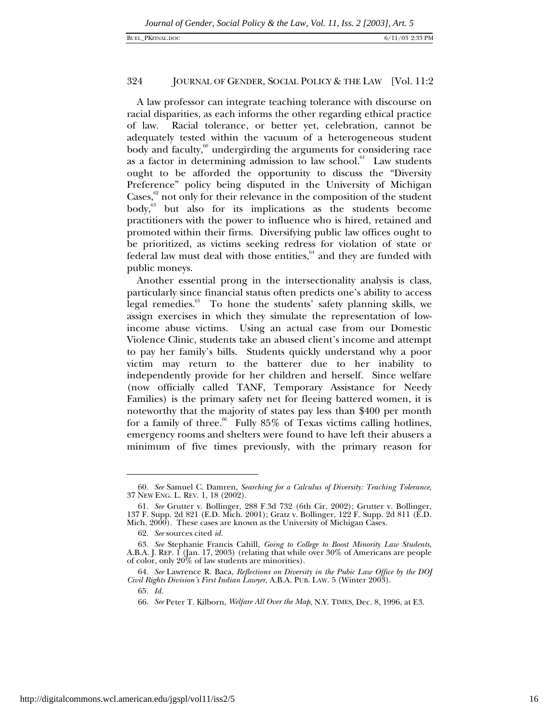A law professor can integrate teaching tolerance with discourse on racial disparities, as each informs the other regarding ethical practice of law. Racial tolerance, or better yet, celebration, cannot be adequately tested within the vacuum of a heterogeneous student body and faculty,<sup>60</sup> undergirding the arguments for considering race as a factor in determining admission to law school. $61$  Law students ought to be afforded the opportunity to discuss the "Diversity Preference" policy being disputed in the University of Michigan Cases, $62$  not only for their relevance in the composition of the student body,<sup>63</sup> but also for its implications as the students become practitioners with the power to influence who is hired, retained and promoted within their firms. Diversifying public law offices ought to be prioritized, as victims seeking redress for violation of state or federal law must deal with those entities, $64$  and they are funded with public moneys.

Another essential prong in the intersectionality analysis is class, particularly since financial status often predicts one's ability to access legal remedies.<sup>65</sup> To hone the students' safety planning skills, we assign exercises in which they simulate the representation of lowincome abuse victims. Using an actual case from our Domestic Violence Clinic, students take an abused client's income and attempt to pay her family's bills. Students quickly understand why a poor victim may return to the batterer due to her inability to independently provide for her children and herself. Since welfare (now officially called TANF, Temporary Assistance for Needy Families) is the primary safety net for fleeing battered women, it is noteworthy that the majority of states pay less than \$400 per month for a family of three.<sup>66</sup> Fully 85% of Texas victims calling hotlines, emergency rooms and shelters were found to have left their abusers a minimum of five times previously, with the primary reason for

<sup>60</sup>*. See* Samuel C. Damren, *Searching for a Calculus of Diversity: Teaching Tolerance*, 37 NEW ENG. L. REV. 1, 18 (2002).

<sup>61</sup>*. See* Grutter v. Bollinger, 288 F.3d 732 (6th Cir. 2002); Grutter v. Bollinger, 137 F. Supp. 2d 821 (E.D. Mich. 2001); Gratz v. Bollinger, 122 F. Supp. 2d 811 (E.D. Mich. 2000). These cases are known as the University of Michigan Cases.

<sup>62</sup>*. See* sources cited *id.*

<sup>63</sup>*. See* Stephanie Francis Cahill, *Going to College to Boost Minority Law Students*, A.B.A. J. REP. 1 (Jan. 17, 2003) (relating that while over 30% of Americans are people of color, only 20% of law students are minorities).

<sup>64</sup>*. See* Lawrence R. Baca, *Reflections on Diversity in the Pubic Law Office by the DOJ Civil Rights Division's First Indian Lawyer*, A.B.A. PUB. LAW. 5 (Winter 2003).

<sup>65</sup>*. Id.*

<sup>66</sup>*. See* Peter T. Kilborn, *Welfare All Over the Map*, N.Y. TIMES, Dec. 8, 1996, at E3.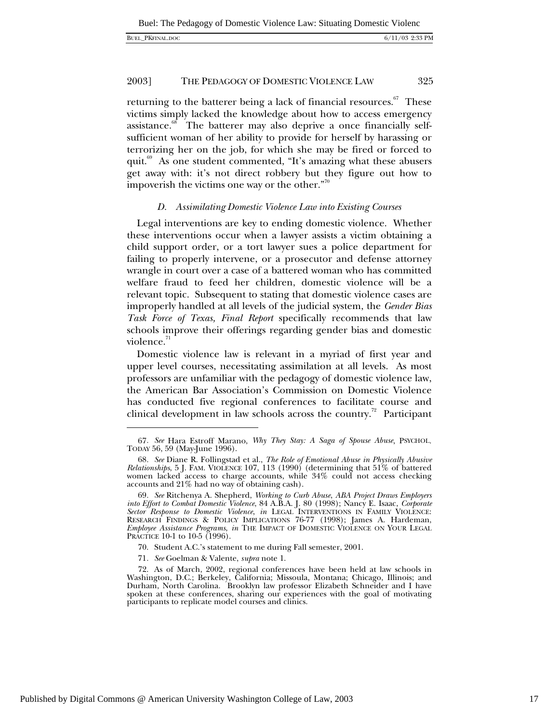$\overline{a}$ 

#### 2003] THE PEDAGOGY OF DOMESTIC VIOLENCE LAW 325

returning to the batterer being a lack of financial resources. $67$  These victims simply lacked the knowledge about how to access emergency assistance. $68$  The batterer may also deprive a once financially selfsufficient woman of her ability to provide for herself by harassing or terrorizing her on the job, for which she may be fired or forced to quit.<sup>69</sup> As one student commented, "It's amazing what these abusers" get away with: it's not direct robbery but they figure out how to impoverish the victims one way or the other. $170$ 

#### *D. Assimilating Domestic Violence Law into Existing Courses*

Legal interventions are key to ending domestic violence. Whether these interventions occur when a lawyer assists a victim obtaining a child support order, or a tort lawyer sues a police department for failing to properly intervene, or a prosecutor and defense attorney wrangle in court over a case of a battered woman who has committed welfare fraud to feed her children, domestic violence will be a relevant topic. Subsequent to stating that domestic violence cases are improperly handled at all levels of the judicial system, the *Gender Bias Task Force of Texas, Final Report* specifically recommends that law schools improve their offerings regarding gender bias and domestic violence.<sup>71</sup>

Domestic violence law is relevant in a myriad of first year and upper level courses, necessitating assimilation at all levels. As most professors are unfamiliar with the pedagogy of domestic violence law, the American Bar Association's Commission on Domestic Violence has conducted five regional conferences to facilitate course and clinical development in law schools across the country.<sup>72</sup> Participant

<sup>67</sup>*. See* Hara Estroff Marano, *Why They Stay: A Saga of Spouse Abuse*, PSYCHOL. TODAY 56, 59 (May-June 1996).

<sup>68</sup>*. See* Diane R. Follingstad et al., *The Role of Emotional Abuse in Physically Abusive Relationships*, 5 J. FAM. VIOLENCE 107, 113 (1990) (determining that 51% of battered women lacked access to charge accounts, while 34% could not access checking accounts and 21% had no way of obtaining cash).

<sup>69</sup>*. See* Ritchenya A. Shepherd, *Working to Curb Abuse*, *ABA Project Draws Employers into Effort to Combat Domestic Violence*, 84 A.B.A. J. 80 (1998); Nancy E. Isaac, *Corporate Sector Response to Domestic Violence*, *in* LEGAL INTERVENTIONS IN FAMILY VIOLENCE: RESEARCH FINDINGS & POLICY IMPLICATIONS 76-77 (1998); James A. Hardeman, *Employee Assistance Programs*, *in* THE IMPACT OF DOMESTIC VIOLENCE ON YOUR LEGAL PRACTICE 10-1 to 10-5 (1996).

<sup>70.</sup> Student A.C.'s statement to me during Fall semester, 2001.

<sup>71</sup>*. See* Goelman & Valente, *supra* note 1.

<sup>72.</sup> As of March, 2002, regional conferences have been held at law schools in Washington, D.C.; Berkeley, California; Missoula, Montana; Chicago, Illinois; and Durham, North Carolina. Brooklyn law professor Elizabeth Schneider and I have spoken at these conferences, sharing our experiences with the goal of motivating participants to replicate model courses and clinics.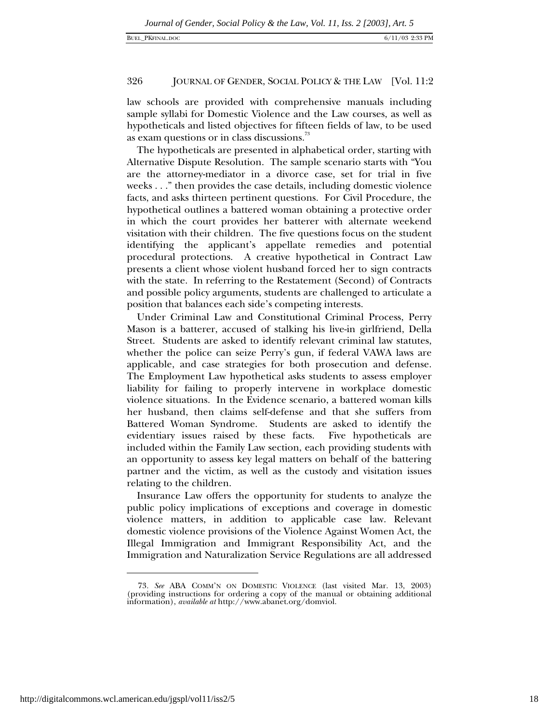law schools are provided with comprehensive manuals including sample syllabi for Domestic Violence and the Law courses, as well as hypotheticals and listed objectives for fifteen fields of law, to be used as exam questions or in class discussions.<sup>73</sup>

The hypotheticals are presented in alphabetical order, starting with Alternative Dispute Resolution. The sample scenario starts with "You are the attorney-mediator in a divorce case, set for trial in five weeks . . ." then provides the case details, including domestic violence facts, and asks thirteen pertinent questions. For Civil Procedure, the hypothetical outlines a battered woman obtaining a protective order in which the court provides her batterer with alternate weekend visitation with their children. The five questions focus on the student identifying the applicant's appellate remedies and potential procedural protections. A creative hypothetical in Contract Law presents a client whose violent husband forced her to sign contracts with the state. In referring to the Restatement (Second) of Contracts and possible policy arguments, students are challenged to articulate a position that balances each side's competing interests.

Under Criminal Law and Constitutional Criminal Process, Perry Mason is a batterer, accused of stalking his live-in girlfriend, Della Street. Students are asked to identify relevant criminal law statutes, whether the police can seize Perry's gun, if federal VAWA laws are applicable, and case strategies for both prosecution and defense. The Employment Law hypothetical asks students to assess employer liability for failing to properly intervene in workplace domestic violence situations. In the Evidence scenario, a battered woman kills her husband, then claims self-defense and that she suffers from Battered Woman Syndrome. Students are asked to identify the evidentiary issues raised by these facts. Five hypotheticals are included within the Family Law section, each providing students with an opportunity to assess key legal matters on behalf of the battering partner and the victim, as well as the custody and visitation issues relating to the children.

Insurance Law offers the opportunity for students to analyze the public policy implications of exceptions and coverage in domestic violence matters, in addition to applicable case law. Relevant domestic violence provisions of the Violence Against Women Act, the Illegal Immigration and Immigrant Responsibility Act, and the Immigration and Naturalization Service Regulations are all addressed

<sup>73</sup>*. See* ABA COMM'N ON DOMESTIC VIOLENCE (last visited Mar. 13, 2003) (providing instructions for ordering a copy of the manual or obtaining additional information), *available at* http://www.abanet.org/domviol.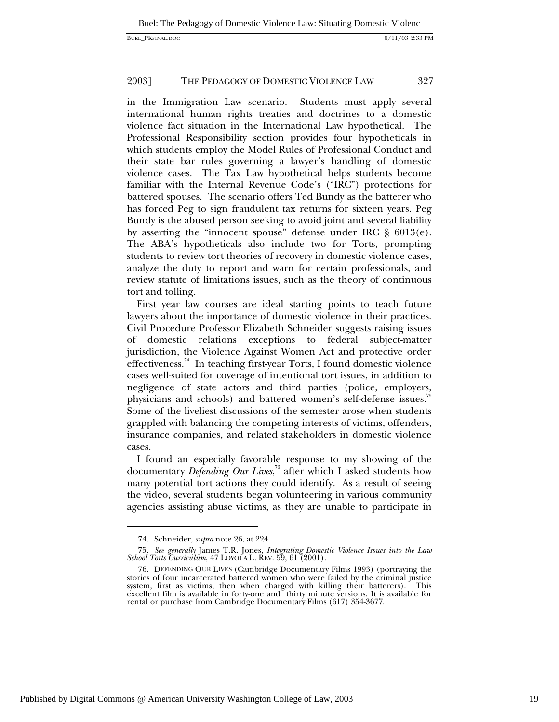|  | <b>BUEL PKFINAL.DOC</b> |
|--|-------------------------|
|--|-------------------------|

in the Immigration Law scenario. Students must apply several international human rights treaties and doctrines to a domestic violence fact situation in the International Law hypothetical. The Professional Responsibility section provides four hypotheticals in which students employ the Model Rules of Professional Conduct and their state bar rules governing a lawyer's handling of domestic violence cases. The Tax Law hypothetical helps students become familiar with the Internal Revenue Code's ("IRC") protections for battered spouses. The scenario offers Ted Bundy as the batterer who has forced Peg to sign fraudulent tax returns for sixteen years. Peg Bundy is the abused person seeking to avoid joint and several liability by asserting the "innocent spouse" defense under IRC § 6013(e). The ABA's hypotheticals also include two for Torts, prompting students to review tort theories of recovery in domestic violence cases, analyze the duty to report and warn for certain professionals, and review statute of limitations issues, such as the theory of continuous tort and tolling.

First year law courses are ideal starting points to teach future lawyers about the importance of domestic violence in their practices. Civil Procedure Professor Elizabeth Schneider suggests raising issues of domestic relations exceptions to federal subject-matter jurisdiction, the Violence Against Women Act and protective order effectiveness.<sup>74</sup> In teaching first-year Torts, I found domestic violence cases well-suited for coverage of intentional tort issues, in addition to negligence of state actors and third parties (police, employers, physicians and schools) and battered women's self-defense issues.<sup>75</sup> Some of the liveliest discussions of the semester arose when students grappled with balancing the competing interests of victims, offenders, insurance companies, and related stakeholders in domestic violence cases.

I found an especially favorable response to my showing of the documentary *Defending Our Lives*, 76 after which I asked students how many potential tort actions they could identify. As a result of seeing the video, several students began volunteering in various community agencies assisting abuse victims, as they are unable to participate in

<sup>74.</sup> Schneider, *supra* note 26, at 224.

<sup>75</sup>*. See generally* James T.R. Jones, *Integrating Domestic Violence Issues into the Law School Torts Curriculum*, 47 LOYOLA L. REV. 59, 61 (2001).

<sup>76.</sup> DEFENDING OUR LIVES (Cambridge Documentary Films 1993) (portraying the stories of four incarcerated battered women who were failed by the criminal justice system, first as victims, then when charged with killing their batterers). This excellent film is available in forty-one and thirty minute versions. It is available for rental or purchase from Cambridge Documentary Films (617) 354-3677.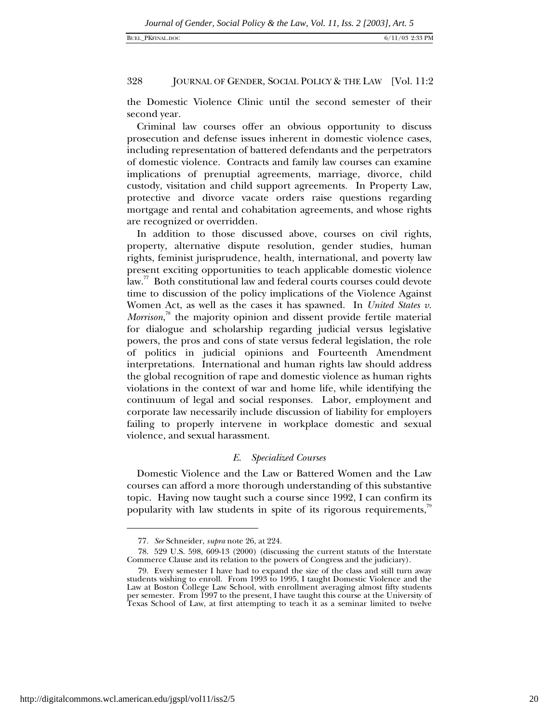the Domestic Violence Clinic until the second semester of their second year.

Criminal law courses offer an obvious opportunity to discuss prosecution and defense issues inherent in domestic violence cases, including representation of battered defendants and the perpetrators of domestic violence. Contracts and family law courses can examine implications of prenuptial agreements, marriage, divorce, child custody, visitation and child support agreements. In Property Law, protective and divorce vacate orders raise questions regarding mortgage and rental and cohabitation agreements, and whose rights are recognized or overridden.

In addition to those discussed above, courses on civil rights, property, alternative dispute resolution, gender studies, human rights, feminist jurisprudence, health, international, and poverty law present exciting opportunities to teach applicable domestic violence law.<sup>77</sup> Both constitutional law and federal courts courses could devote time to discussion of the policy implications of the Violence Against Women Act, as well as the cases it has spawned. In *United States v. Morrison*, 78 the majority opinion and dissent provide fertile material for dialogue and scholarship regarding judicial versus legislative powers, the pros and cons of state versus federal legislation, the role of politics in judicial opinions and Fourteenth Amendment interpretations. International and human rights law should address the global recognition of rape and domestic violence as human rights violations in the context of war and home life, while identifying the continuum of legal and social responses. Labor, employment and corporate law necessarily include discussion of liability for employers failing to properly intervene in workplace domestic and sexual violence, and sexual harassment.

#### *E. Specialized Courses*

Domestic Violence and the Law or Battered Women and the Law courses can afford a more thorough understanding of this substantive topic. Having now taught such a course since 1992, I can confirm its popularity with law students in spite of its rigorous requirements, $\mathbf{S}^{\text{eq}}$ 

-

<sup>77</sup>*. See* Schneider, *supra* note 26, at 224.

<sup>78. 529</sup> U.S. 598, 609-13 (2000) (discussing the current statuts of the Interstate Commerce Clause and its relation to the powers of Congress and the judiciary).

<sup>79.</sup> Every semester I have had to expand the size of the class and still turn away students wishing to enroll. From 1993 to 1995, I taught Domestic Violence and the Law at Boston College Law School, with enrollment averaging almost fifty students per semester. From 1997 to the present, I have taught this course at the University of Texas School of Law, at first attempting to teach it as a seminar limited to twelve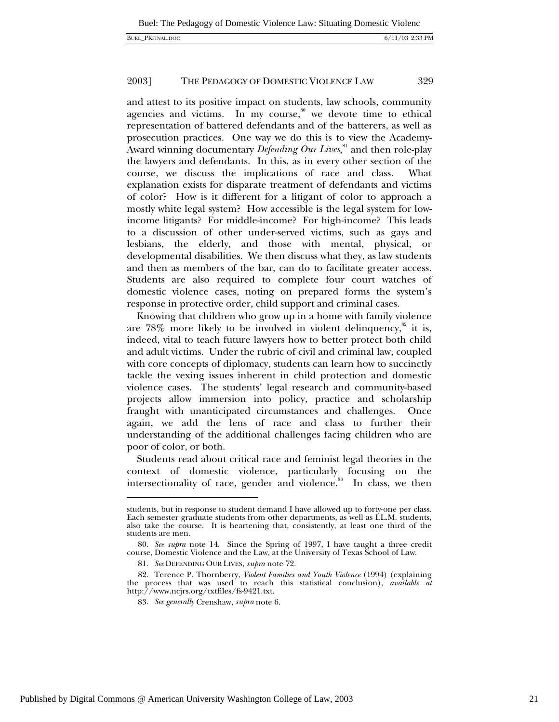and attest to its positive impact on students, law schools, community agencies and victims. In my course,<sup>80</sup> we devote time to ethical representation of battered defendants and of the batterers, as well as prosecution practices. One way we do this is to view the Academy-Award winning documentary *Defending Our Lives*, 81 and then role-play the lawyers and defendants. In this, as in every other section of the course, we discuss the implications of race and class. What explanation exists for disparate treatment of defendants and victims of color? How is it different for a litigant of color to approach a mostly white legal system? How accessible is the legal system for lowincome litigants? For middle-income? For high-income? This leads to a discussion of other under-served victims, such as gays and lesbians, the elderly, and those with mental, physical, or developmental disabilities. We then discuss what they, as law students and then as members of the bar, can do to facilitate greater access. Students are also required to complete four court watches of domestic violence cases, noting on prepared forms the system's response in protective order, child support and criminal cases.

Knowing that children who grow up in a home with family violence are 78% more likely to be involved in violent delinquency,<sup>82</sup> it is, indeed, vital to teach future lawyers how to better protect both child and adult victims. Under the rubric of civil and criminal law, coupled with core concepts of diplomacy, students can learn how to succinctly tackle the vexing issues inherent in child protection and domestic violence cases. The students' legal research and community-based projects allow immersion into policy, practice and scholarship fraught with unanticipated circumstances and challenges. Once again, we add the lens of race and class to further their understanding of the additional challenges facing children who are poor of color, or both.

Students read about critical race and feminist legal theories in the context of domestic violence, particularly focusing on the intersectionality of race, gender and violence.<sup>83</sup> In class, we then

1

students, but in response to student demand I have allowed up to forty-one per class. Each semester graduate students from other departments, as well as LL.M. students, also take the course. It is heartening that, consistently, at least one third of the students are men.

<sup>80</sup>*. See supra* note 14. Since the Spring of 1997, I have taught a three credit course, Domestic Violence and the Law, at the University of Texas School of Law.

<sup>81</sup>*. See* DEFENDING OUR LIVES, *supra* note 72.

<sup>82.</sup> Terence P. Thornberry, *Violent Families and Youth Violence* (1994) (explaining the process that was used to reach this statistical conclusion), *available at* http://www.ncjrs.org/txtfiles/fs-9421.txt.

<sup>83</sup>*. See generally* Crenshaw, *supra* note 6.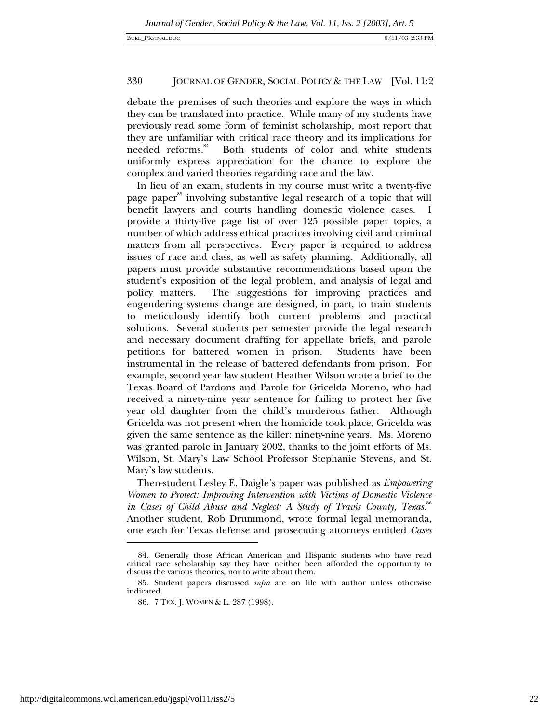debate the premises of such theories and explore the ways in which they can be translated into practice. While many of my students have previously read some form of feminist scholarship, most report that they are unfamiliar with critical race theory and its implications for needed reforms.<sup>84</sup> Both students of color and white students uniformly express appreciation for the chance to explore the complex and varied theories regarding race and the law.

In lieu of an exam, students in my course must write a twenty-five page paper<sup>85</sup> involving substantive legal research of a topic that will benefit lawyers and courts handling domestic violence cases. I provide a thirty-five page list of over 125 possible paper topics, a number of which address ethical practices involving civil and criminal matters from all perspectives. Every paper is required to address issues of race and class, as well as safety planning. Additionally, all papers must provide substantive recommendations based upon the student's exposition of the legal problem, and analysis of legal and policy matters. The suggestions for improving practices and engendering systems change are designed, in part, to train students to meticulously identify both current problems and practical solutions. Several students per semester provide the legal research and necessary document drafting for appellate briefs, and parole petitions for battered women in prison. Students have been instrumental in the release of battered defendants from prison. For example, second year law student Heather Wilson wrote a brief to the Texas Board of Pardons and Parole for Gricelda Moreno, who had received a ninety-nine year sentence for failing to protect her five year old daughter from the child's murderous father. Although Gricelda was not present when the homicide took place, Gricelda was given the same sentence as the killer: ninety-nine years. Ms. Moreno was granted parole in January 2002, thanks to the joint efforts of Ms. Wilson, St. Mary's Law School Professor Stephanie Stevens, and St. Mary's law students.

Then-student Lesley E. Daigle's paper was published as *Empowering Women to Protect: Improving Intervention with Victims of Domestic Violence* in Cases of Child Abuse and Neglect: A Study of Travis County, Texas.<sup>86</sup> Another student, Rob Drummond, wrote formal legal memoranda, one each for Texas defense and prosecuting attorneys entitled *Cases*

<sup>84.</sup> Generally those African American and Hispanic students who have read critical race scholarship say they have neither been afforded the opportunity to discuss the various theories, nor to write about them.

<sup>85.</sup> Student papers discussed *infra* are on file with author unless otherwise indicated.

<sup>86. 7</sup> TEX. J. WOMEN & L. 287 (1998).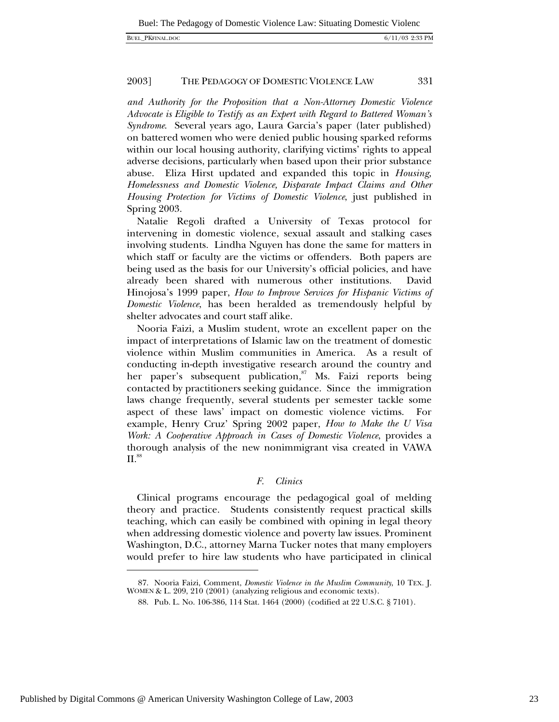|  | <b>BUEL PKFINAL.DOG</b> |
|--|-------------------------|
|--|-------------------------|

*and Authority for the Proposition that a Non-Attorney Domestic Violence Advocate is Eligible to Testify as an Expert with Regard to Battered Woman's Syndrome*. Several years ago, Laura Garcia's paper (later published) on battered women who were denied public housing sparked reforms within our local housing authority, clarifying victims' rights to appeal adverse decisions, particularly when based upon their prior substance abuse. Eliza Hirst updated and expanded this topic in *Housing, Homelessness and Domestic Violence, Disparate Impact Claims and Other Housing Protection for Victims of Domestic Violence*, just published in Spring 2003.

Natalie Regoli drafted a University of Texas protocol for intervening in domestic violence, sexual assault and stalking cases involving students. Lindha Nguyen has done the same for matters in which staff or faculty are the victims or offenders. Both papers are being used as the basis for our University's official policies, and have already been shared with numerous other institutions. David Hinojosa's 1999 paper, *How to Improve Services for Hispanic Victims of Domestic Violence*, has been heralded as tremendously helpful by shelter advocates and court staff alike.

Nooria Faizi, a Muslim student, wrote an excellent paper on the impact of interpretations of Islamic law on the treatment of domestic violence within Muslim communities in America. As a result of conducting in-depth investigative research around the country and her paper's subsequent publication, $s^7$  Ms. Faizi reports being contacted by practitioners seeking guidance. Since the immigration laws change frequently, several students per semester tackle some aspect of these laws' impact on domestic violence victims. For example, Henry Cruz' Spring 2002 paper, *How to Make the U Visa Work: A Cooperative Approach in Cases of Domestic Violence*, provides a thorough analysis of the new nonimmigrant visa created in VAWA  $II.<sup>88</sup>$ 

#### *F. Clinics*

Clinical programs encourage the pedagogical goal of melding theory and practice. Students consistently request practical skills teaching, which can easily be combined with opining in legal theory when addressing domestic violence and poverty law issues. Prominent Washington, D.C., attorney Marna Tucker notes that many employers would prefer to hire law students who have participated in clinical

<sup>87.</sup> Nooria Faizi, Comment, *Domestic Violence in the Muslim Community*, 10 TEX. J. WOMEN & L. 209, 210 (2001) (analyzing religious and economic texts).

<sup>88.</sup> Pub. L. No. 106-386, 114 Stat. 1464 (2000) (codified at 22 U.S.C. § 7101).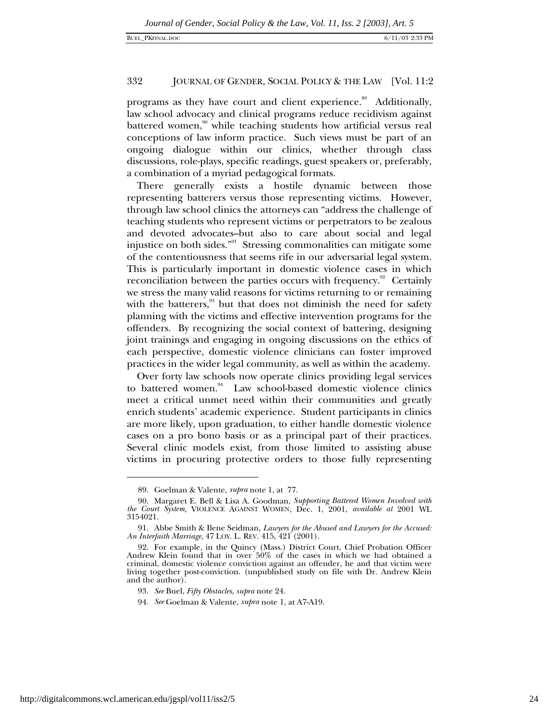programs as they have court and client experience.<sup>89</sup> Additionally, law school advocacy and clinical programs reduce recidivism against battered women, $90$  while teaching students how artificial versus real conceptions of law inform practice. Such views must be part of an ongoing dialogue within our clinics, whether through class discussions, role-plays, specific readings, guest speakers or, preferably, a combination of a myriad pedagogical formats.

There generally exists a hostile dynamic between those representing batterers versus those representing victims. However, through law school clinics the attorneys can "address the challenge of teaching students who represent victims or perpetrators to be zealous and devoted advocates–but also to care about social and legal injustice on both sides."<sup>91</sup> Stressing commonalities can mitigate some of the contentiousness that seems rife in our adversarial legal system. This is particularly important in domestic violence cases in which reconciliation between the parties occurs with frequency. $92$  Certainly we stress the many valid reasons for victims returning to or remaining with the batterers,<sup>93</sup> but that does not diminish the need for safety planning with the victims and effective intervention programs for the offenders. By recognizing the social context of battering, designing joint trainings and engaging in ongoing discussions on the ethics of each perspective, domestic violence clinicians can foster improved practices in the wider legal community, as well as within the academy.

Over forty law schools now operate clinics providing legal services to battered women.<sup>94</sup> Law school-based domestic violence clinics meet a critical unmet need within their communities and greatly enrich students' academic experience. Student participants in clinics are more likely, upon graduation, to either handle domestic violence cases on a pro bono basis or as a principal part of their practices. Several clinic models exist, from those limited to assisting abuse victims in procuring protective orders to those fully representing

<sup>89.</sup> Goelman & Valente, *supra* note 1, at 77.

<sup>90.</sup> Margaret E. Bell & Lisa A. Goodman, *Supporting Battered Women Involved with the Court System*, VIOLENCE AGAINST WOMEN, Dec. 1, 2001, *available at* 2001 WL 3154021.

<sup>91.</sup> Abbe Smith & Ilene Seidman, *Lawyers for the Abused and Lawyers for the Accused: An Interfaith Marriage*, 47 LOY. L. REV. 415, 421 (2001).

<sup>92.</sup> For example, in the Quincy (Mass.) District Court, Chief Probation Officer Andrew Klein found that in over 50% of the cases in which we had obtained a criminal, domestic violence conviction against an offender, he and that victim were living together post-conviction. (unpublished study on file with Dr. Andrew Klein and the author).

<sup>93</sup>*. See* Buel, *Fifty Obstacles*, *supra* note 24.

<sup>94</sup>*. See* Goelman & Valente, *supra* note 1, at A7-A19.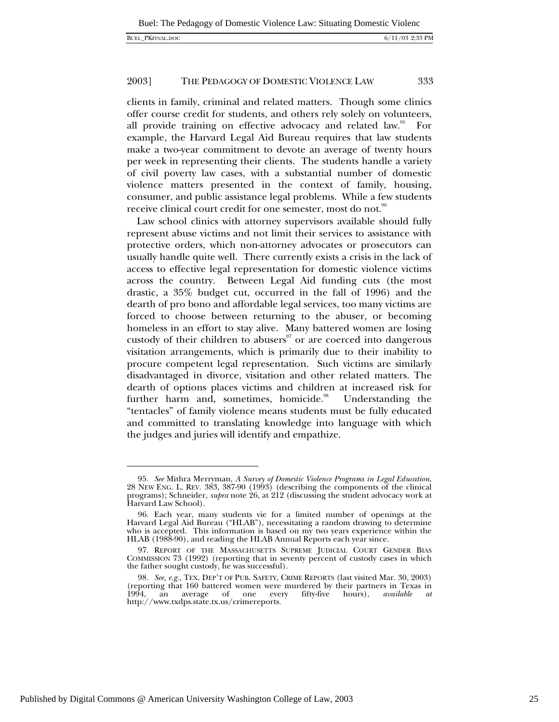clients in family, criminal and related matters. Though some clinics offer course credit for students, and others rely solely on volunteers, all provide training on effective advocacy and related law.<sup>95</sup> For example, the Harvard Legal Aid Bureau requires that law students make a two-year commitment to devote an average of twenty hours per week in representing their clients. The students handle a variety of civil poverty law cases, with a substantial number of domestic violence matters presented in the context of family, housing, consumer, and public assistance legal problems. While a few students receive clinical court credit for one semester, most do not.<sup>56</sup>

Law school clinics with attorney supervisors available should fully represent abuse victims and not limit their services to assistance with protective orders, which non-attorney advocates or prosecutors can usually handle quite well. There currently exists a crisis in the lack of access to effective legal representation for domestic violence victims across the country. Between Legal Aid funding cuts (the most drastic, a 35% budget cut, occurred in the fall of 1996) and the dearth of pro bono and affordable legal services, too many victims are forced to choose between returning to the abuser, or becoming homeless in an effort to stay alive. Many battered women are losing custody of their children to abusers<sup>97</sup> or are coerced into dangerous visitation arrangements, which is primarily due to their inability to procure competent legal representation. Such victims are similarly disadvantaged in divorce, visitation and other related matters. The dearth of options places victims and children at increased risk for further harm and, sometimes, homicide.<sup>98</sup> Understanding the "tentacles" of family violence means students must be fully educated and committed to translating knowledge into language with which the judges and juries will identify and empathize.

<sup>95</sup>*. See* Mithra Merryman, *A Survey of Domestic Violence Programs in Legal Education*, 28 NEW ENG. L. REV. 383, 387-90 (1993) (describing the components of the clinical programs); Schneider, *supra* note 26, at 212 (discussing the student advocacy work at Harvard Law School).

<sup>96.</sup> Each year, many students vie for a limited number of openings at the Harvard Legal Aid Bureau ("HLAB"), necessitating a random drawing to determine who is accepted. This information is based on my two years experience within the HLAB (1988-90), and reading the HLAB Annual Reports each year since.

<sup>97.</sup> REPORT OF THE MASSACHUSETTS SUPREME JUDICIAL COURT GENDER BIAS COMMISSION 73 (1992) (reporting that in seventy percent of custody cases in which the father sought custody, he was successful).

<sup>98</sup>*. See, e.g.*, TEX. DEP'T OF PUB. SAFETY, CRIME REPORTS (last visited Mar. 30, 2003) (reporting that 160 battered women were murdered by their partners in Texas in 1994, an average of one every fifty-five hours), *available at* an average of one every fifty-five hours), *available* http://www.txdps.state.tx.us/crimereports.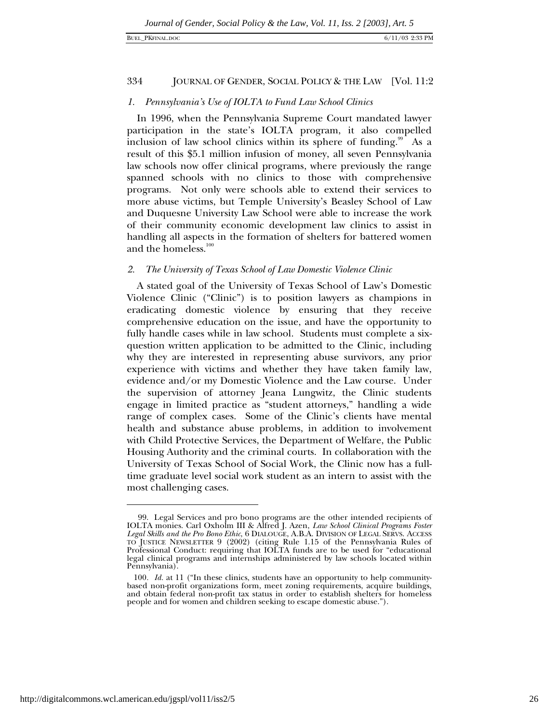#### *1. Pennsylvania's Use of IOLTA to Fund Law School Clinics*

In 1996, when the Pennsylvania Supreme Court mandated lawyer participation in the state's IOLTA program, it also compelled inclusion of law school clinics within its sphere of funding.<sup>99</sup> As a result of this \$5.1 million infusion of money, all seven Pennsylvania law schools now offer clinical programs, where previously the range spanned schools with no clinics to those with comprehensive programs. Not only were schools able to extend their services to more abuse victims, but Temple University's Beasley School of Law and Duquesne University Law School were able to increase the work of their community economic development law clinics to assist in handling all aspects in the formation of shelters for battered women and the homeless. $100$ 

#### *2. The University of Texas School of Law Domestic Violence Clinic*

A stated goal of the University of Texas School of Law's Domestic Violence Clinic ("Clinic") is to position lawyers as champions in eradicating domestic violence by ensuring that they receive comprehensive education on the issue, and have the opportunity to fully handle cases while in law school. Students must complete a sixquestion written application to be admitted to the Clinic, including why they are interested in representing abuse survivors, any prior experience with victims and whether they have taken family law, evidence and/or my Domestic Violence and the Law course. Under the supervision of attorney Jeana Lungwitz, the Clinic students engage in limited practice as "student attorneys," handling a wide range of complex cases. Some of the Clinic's clients have mental health and substance abuse problems, in addition to involvement with Child Protective Services, the Department of Welfare, the Public Housing Authority and the criminal courts. In collaboration with the University of Texas School of Social Work, the Clinic now has a fulltime graduate level social work student as an intern to assist with the most challenging cases.

<sup>99.</sup> Legal Services and pro bono programs are the other intended recipients of IOLTA monies. Carl Oxholm III & Alfred J. Azen, *Law School Clinical Programs Foster Legal Skills and the Pro Bono Ethic*, 6 DIALOUGE, A.B.A. DIVISION OF LEGAL SERVS. ACCESS TO JUSTICE NEWSLETTER 9 (2002) (citing Rule 1.15 of the Pennsylvania Rules of Professional Conduct: requiring that IOLTA funds are to be used for "educational legal clinical programs and internships administered by law schools located within Pennsylvania).

<sup>100</sup>*. Id.* at 11 ("In these clinics, students have an opportunity to help communitybased non-profit organizations form, meet zoning requirements, acquire buildings, and obtain federal non-profit tax status in order to establish shelters for homeless people and for women and children seeking to escape domestic abuse.").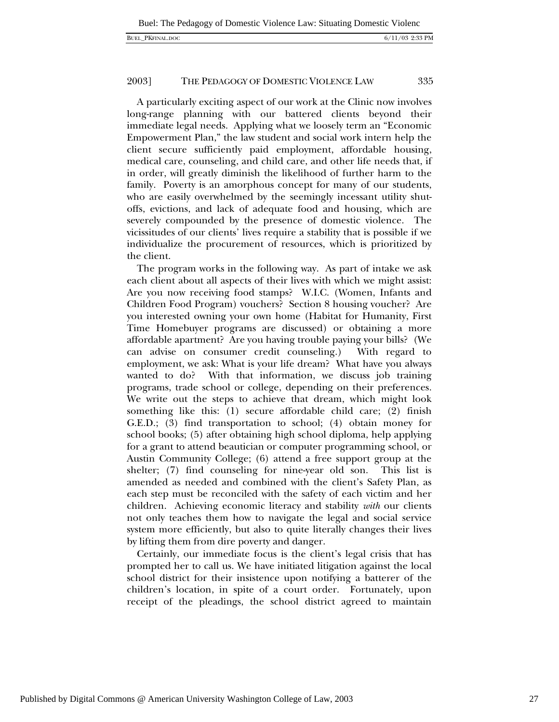A particularly exciting aspect of our work at the Clinic now involves long-range planning with our battered clients beyond their immediate legal needs. Applying what we loosely term an "Economic Empowerment Plan," the law student and social work intern help the client secure sufficiently paid employment, affordable housing, medical care, counseling, and child care, and other life needs that, if in order, will greatly diminish the likelihood of further harm to the family. Poverty is an amorphous concept for many of our students, who are easily overwhelmed by the seemingly incessant utility shutoffs, evictions, and lack of adequate food and housing, which are severely compounded by the presence of domestic violence. The vicissitudes of our clients' lives require a stability that is possible if we individualize the procurement of resources, which is prioritized by the client.

The program works in the following way. As part of intake we ask each client about all aspects of their lives with which we might assist: Are you now receiving food stamps? W.I.C. (Women, Infants and Children Food Program) vouchers? Section 8 housing voucher? Are you interested owning your own home (Habitat for Humanity, First Time Homebuyer programs are discussed) or obtaining a more affordable apartment? Are you having trouble paying your bills? (We can advise on consumer credit counseling.) With regard to employment, we ask: What is your life dream? What have you always wanted to do? With that information, we discuss job training programs, trade school or college, depending on their preferences. We write out the steps to achieve that dream, which might look something like this: (1) secure affordable child care; (2) finish G.E.D.; (3) find transportation to school; (4) obtain money for school books; (5) after obtaining high school diploma, help applying for a grant to attend beautician or computer programming school, or Austin Community College; (6) attend a free support group at the shelter; (7) find counseling for nine-year old son. This list is amended as needed and combined with the client's Safety Plan, as each step must be reconciled with the safety of each victim and her children. Achieving economic literacy and stability *with* our clients not only teaches them how to navigate the legal and social service system more efficiently, but also to quite literally changes their lives by lifting them from dire poverty and danger.

Certainly, our immediate focus is the client's legal crisis that has prompted her to call us. We have initiated litigation against the local school district for their insistence upon notifying a batterer of the children's location, in spite of a court order. Fortunately, upon receipt of the pleadings, the school district agreed to maintain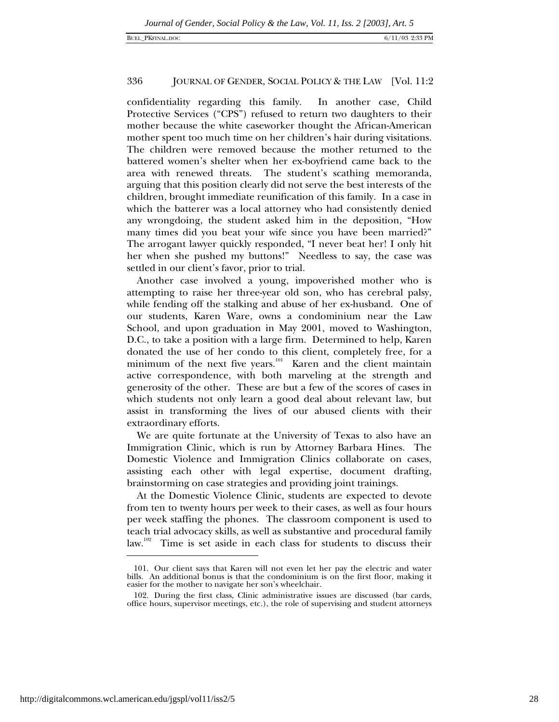confidentiality regarding this family. In another case, Child Protective Services ("CPS") refused to return two daughters to their mother because the white caseworker thought the African-American mother spent too much time on her children's hair during visitations. The children were removed because the mother returned to the battered women's shelter when her ex-boyfriend came back to the area with renewed threats. The student's scathing memoranda, arguing that this position clearly did not serve the best interests of the children, brought immediate reunification of this family. In a case in which the batterer was a local attorney who had consistently denied any wrongdoing, the student asked him in the deposition, "How many times did you beat your wife since you have been married?" The arrogant lawyer quickly responded, "I never beat her! I only hit her when she pushed my buttons!" Needless to say, the case was settled in our client's favor, prior to trial.

Another case involved a young, impoverished mother who is attempting to raise her three-year old son, who has cerebral palsy, while fending off the stalking and abuse of her ex-husband. One of our students, Karen Ware, owns a condominium near the Law School, and upon graduation in May 2001, moved to Washington, D.C., to take a position with a large firm. Determined to help, Karen donated the use of her condo to this client, completely free, for a minimum of the next five years.<sup>101</sup> Karen and the client maintain active correspondence, with both marveling at the strength and generosity of the other. These are but a few of the scores of cases in which students not only learn a good deal about relevant law, but assist in transforming the lives of our abused clients with their extraordinary efforts.

We are quite fortunate at the University of Texas to also have an Immigration Clinic, which is run by Attorney Barbara Hines. The Domestic Violence and Immigration Clinics collaborate on cases, assisting each other with legal expertise, document drafting, brainstorming on case strategies and providing joint trainings.

At the Domestic Violence Clinic, students are expected to devote from ten to twenty hours per week to their cases, as well as four hours per week staffing the phones. The classroom component is used to teach trial advocacy skills, as well as substantive and procedural family law.<sup>102</sup> Time is set aside in each class for students to discuss their

-

<sup>101.</sup> Our client says that Karen will not even let her pay the electric and water bills. An additional bonus is that the condominium is on the first floor, making it easier for the mother to navigate her son's wheelchair.

<sup>102.</sup> During the first class, Clinic administrative issues are discussed (bar cards, office hours, supervisor meetings, etc.), the role of supervising and student attorneys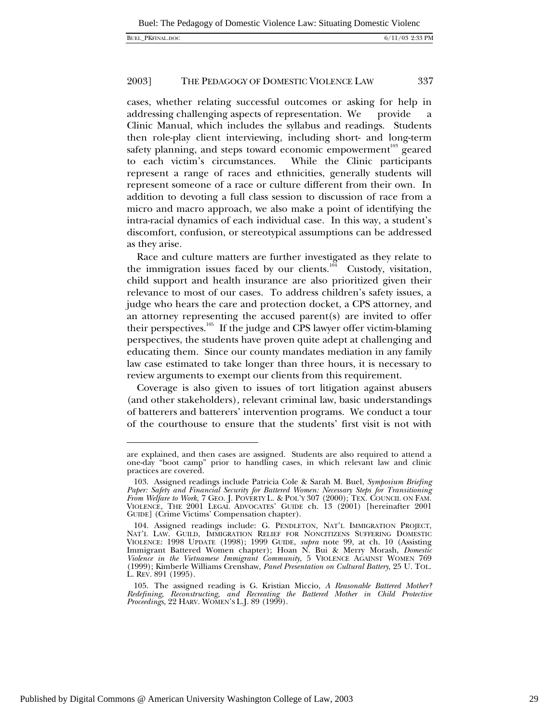1

#### 2003] THE PEDAGOGY OF DOMESTIC VIOLENCE LAW 337

cases, whether relating successful outcomes or asking for help in addressing challenging aspects of representation. We provide Clinic Manual, which includes the syllabus and readings. Students then role-play client interviewing, including short- and long-term safety planning, and steps toward economic empowerment $103$  geared to each victim's circumstances. While the Clinic participants represent a range of races and ethnicities, generally students will represent someone of a race or culture different from their own. In addition to devoting a full class session to discussion of race from a micro and macro approach, we also make a point of identifying the intra-racial dynamics of each individual case. In this way, a student's discomfort, confusion, or stereotypical assumptions can be addressed as they arise.

Race and culture matters are further investigated as they relate to the immigration issues faced by our clients.<sup>104</sup> Custody, visitation, child support and health insurance are also prioritized given their relevance to most of our cases. To address children's safety issues, a judge who hears the care and protection docket, a CPS attorney, and an attorney representing the accused parent(s) are invited to offer their perspectives.<sup>105</sup> If the judge and CPS lawyer offer victim-blaming perspectives, the students have proven quite adept at challenging and educating them. Since our county mandates mediation in any family law case estimated to take longer than three hours, it is necessary to review arguments to exempt our clients from this requirement.

Coverage is also given to issues of tort litigation against abusers (and other stakeholders), relevant criminal law, basic understandings of batterers and batterers' intervention programs. We conduct a tour of the courthouse to ensure that the students' first visit is not with

are explained, and then cases are assigned. Students are also required to attend a one-day "boot camp" prior to handling cases, in which relevant law and clinic practices are covered.

<sup>103.</sup> Assigned readings include Patricia Cole & Sarah M. Buel, *Symposium Briefing Paper: Safety and Financial Security for Battered Women: Necessary Steps for Transitioning From Welfare to Work*, 7 GEO. J. POVERTY L. & POL'Y 307 (2000); TEX. COUNCIL ON FAM. VIOLENCE, THE 2001 LEGAL ADVOCATES' GUIDE ch. 13 (2001) [hereinafter 2001 GUIDE] (Crime Victims' Compensation chapter).

<sup>104.</sup> Assigned readings include: G. PENDLETON, NAT'L IMMIGRATION PROJECT, NAT'L LAW. GUILD, IMMIGRATION RELIEF FOR NONCITIZENS SUFFERING DOMESTIC VIOLENCE: 1998 UPDATE (1998); 1999 GUIDE, *supra* note 99, at ch. 10 (Assisting Immigrant Battered Women chapter); Hoan N. Bui & Merry Morash, *Domestic Violence in the Vietnamese Immigrant Community*, 5 VIOLENCE AGAINST WOMEN 769 (1999); Kimberle Williams Crenshaw, *Panel Presentation on Cultural Battery*, 25 U. TOL. L. REV. 891 (1995).

<sup>105.</sup> The assigned reading is G. Kristian Miccio, *A Reasonable Battered Mother? Redefining, Reconstructing, and Recreating the Battered Mother in Child Protective Proceedings*, 22 HARV. WOMEN'S L.J. 89 (1999).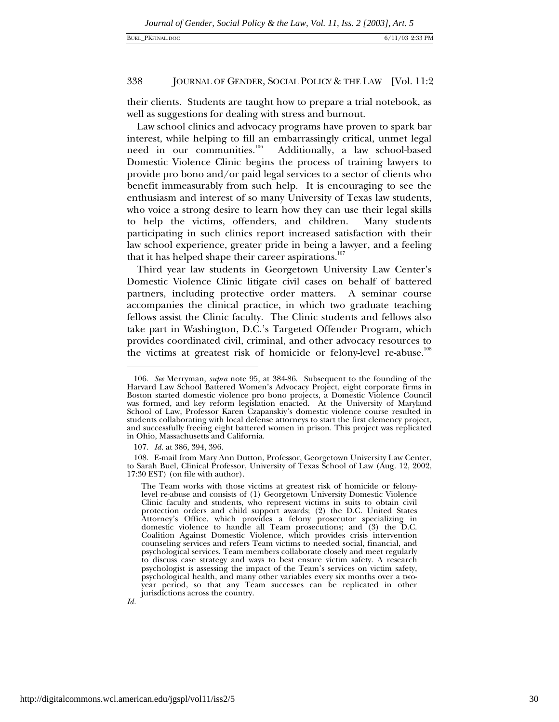their clients. Students are taught how to prepare a trial notebook, as well as suggestions for dealing with stress and burnout.

Law school clinics and advocacy programs have proven to spark bar interest, while helping to fill an embarrassingly critical, unmet legal<br>need in our communities.<sup>106</sup> Additionally, a law school-based Additionally, a law school-based Domestic Violence Clinic begins the process of training lawyers to provide pro bono and/or paid legal services to a sector of clients who benefit immeasurably from such help. It is encouraging to see the enthusiasm and interest of so many University of Texas law students, who voice a strong desire to learn how they can use their legal skills to help the victims, offenders, and children. Many students participating in such clinics report increased satisfaction with their law school experience, greater pride in being a lawyer, and a feeling that it has helped shape their career aspirations. $107$ 

Third year law students in Georgetown University Law Center's Domestic Violence Clinic litigate civil cases on behalf of battered partners, including protective order matters. A seminar course accompanies the clinical practice, in which two graduate teaching fellows assist the Clinic faculty. The Clinic students and fellows also take part in Washington, D.C.'s Targeted Offender Program, which provides coordinated civil, criminal, and other advocacy resources to the victims at greatest risk of homicide or felony-level re-abuse.<sup>108</sup>

*Id.*

1

<sup>106</sup>*. See* Merryman, *supra* note 95, at 384-86.Subsequent to the founding of the Harvard Law School Battered Women's Advocacy Project, eight corporate firms in Boston started domestic violence pro bono projects, a Domestic Violence Council was formed, and key reform legislation enacted. At the University of Maryland School of Law, Professor Karen Czapanskiy's domestic violence course resulted in students collaborating with local defense attorneys to start the first clemency project, and successfully freeing eight battered women in prison. This project was replicated in Ohio, Massachusetts and California.

<sup>107</sup>*. Id.* at 386, 394, 396.

<sup>108.</sup> E-mail from Mary Ann Dutton, Professor, Georgetown University Law Center, to Sarah Buel, Clinical Professor, University of Texas School of Law (Aug. 12, 2002, 17:30 EST) (on file with author).

The Team works with those victims at greatest risk of homicide or felonylevel re-abuse and consists of (1) Georgetown University Domestic Violence Clinic faculty and students, who represent victims in suits to obtain civil protection orders and child support awards; (2) the D.C. United States Attorney's Office, which provides a felony prosecutor specializing in domestic violence to handle all Team prosecutions; and (3) the D.C. Coalition Against Domestic Violence, which provides crisis intervention counseling services and refers Team victims to needed social, financial, and psychological services. Team members collaborate closely and meet regularly to discuss case strategy and ways to best ensure victim safety. A research psychologist is assessing the impact of the Team's services on victim safety, psychological health, and many other variables every six months over a twoyear period, so that any Team successes can be replicated in other jurisdictions across the country.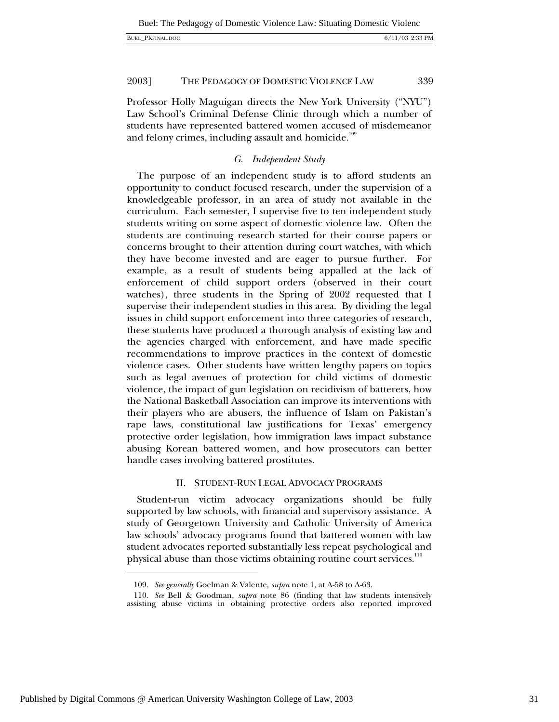| <b>BUEL PKFINAL.DOG</b> |  |
|-------------------------|--|
|-------------------------|--|

Professor Holly Maguigan directs the New York University ("NYU") Law School's Criminal Defense Clinic through which a number of students have represented battered women accused of misdemeanor and felony crimes, including assault and homicide.<sup>109</sup>

#### *G. Independent Study*

The purpose of an independent study is to afford students an opportunity to conduct focused research, under the supervision of a knowledgeable professor, in an area of study not available in the curriculum. Each semester, I supervise five to ten independent study students writing on some aspect of domestic violence law. Often the students are continuing research started for their course papers or concerns brought to their attention during court watches, with which they have become invested and are eager to pursue further. For example, as a result of students being appalled at the lack of enforcement of child support orders (observed in their court watches), three students in the Spring of 2002 requested that I supervise their independent studies in this area. By dividing the legal issues in child support enforcement into three categories of research, these students have produced a thorough analysis of existing law and the agencies charged with enforcement, and have made specific recommendations to improve practices in the context of domestic violence cases. Other students have written lengthy papers on topics such as legal avenues of protection for child victims of domestic violence, the impact of gun legislation on recidivism of batterers, how the National Basketball Association can improve its interventions with their players who are abusers, the influence of Islam on Pakistan's rape laws, constitutional law justifications for Texas' emergency protective order legislation, how immigration laws impact substance abusing Korean battered women, and how prosecutors can better handle cases involving battered prostitutes.

#### II. STUDENT-RUN LEGAL ADVOCACY PROGRAMS

Student-run victim advocacy organizations should be fully supported by law schools, with financial and supervisory assistance. A study of Georgetown University and Catholic University of America law schools' advocacy programs found that battered women with law student advocates reported substantially less repeat psychological and physical abuse than those victims obtaining routine court services.<sup>110</sup>

-

<sup>109</sup>*. See generally* Goelman & Valente, *supra* note 1, at A-58 to A-63.

<sup>110</sup>*. See* Bell & Goodman, *supra* note 86 (finding that law students intensively assisting abuse victims in obtaining protective orders also reported improved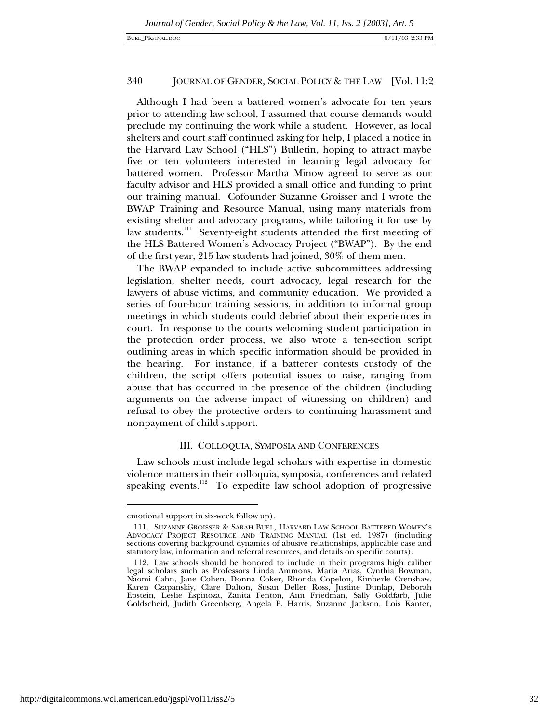Although I had been a battered women's advocate for ten years prior to attending law school, I assumed that course demands would preclude my continuing the work while a student. However, as local shelters and court staff continued asking for help, I placed a notice in the Harvard Law School ("HLS") Bulletin, hoping to attract maybe five or ten volunteers interested in learning legal advocacy for battered women. Professor Martha Minow agreed to serve as our faculty advisor and HLS provided a small office and funding to print our training manual. Cofounder Suzanne Groisser and I wrote the BWAP Training and Resource Manual, using many materials from existing shelter and advocacy programs, while tailoring it for use by law students.<sup>111</sup> Seventy-eight students attended the first meeting of the HLS Battered Women's Advocacy Project ("BWAP"). By the end of the first year, 215 law students had joined, 30% of them men.

The BWAP expanded to include active subcommittees addressing legislation, shelter needs, court advocacy, legal research for the lawyers of abuse victims, and community education. We provided a series of four-hour training sessions, in addition to informal group meetings in which students could debrief about their experiences in court. In response to the courts welcoming student participation in the protection order process, we also wrote a ten-section script outlining areas in which specific information should be provided in the hearing. For instance, if a batterer contests custody of the children, the script offers potential issues to raise, ranging from abuse that has occurred in the presence of the children (including arguments on the adverse impact of witnessing on children) and refusal to obey the protective orders to continuing harassment and nonpayment of child support.

#### III. COLLOQUIA, SYMPOSIA AND CONFERENCES

Law schools must include legal scholars with expertise in domestic violence matters in their colloquia, symposia, conferences and related speaking events.<sup>112</sup> To expedite law school adoption of progressive

emotional support in six-week follow up).

<sup>111.</sup> SUZANNE GROISSER & SARAH BUEL, HARVARD LAW SCHOOL BATTERED WOMEN'S ADVOCACY PROJECT RESOURCE AND TRAINING MANUAL (1st ed. 1987) (including sections covering background dynamics of abusive relationships, applicable case and statutory law, information and referral resources, and details on specific courts).

<sup>112.</sup> Law schools should be honored to include in their programs high caliber legal scholars such as Professors Linda Ammons, Maria Arias, Cynthia Bowman, Naomi Cahn, Jane Cohen, Donna Coker, Rhonda Copelon, Kimberle Crenshaw, Karen Czapanskiy, Clare Dalton, Susan Deller Ross, Justine Dunlap, Deborah Epstein, Leslie Espinoza, Zanita Fenton, Ann Friedman, Sally Goldfarb, Julie Goldscheid, Judith Greenberg, Angela P. Harris, Suzanne Jackson, Lois Kanter,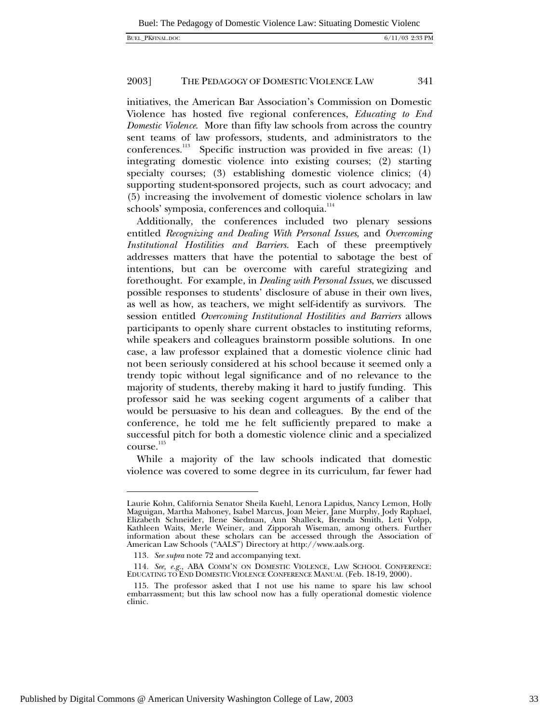initiatives, the American Bar Association's Commission on Domestic Violence has hosted five regional conferences, *Educating to End Domestic Violence*. More than fifty law schools from across the country sent teams of law professors, students, and administrators to the conferences.<sup>113</sup> Specific instruction was provided in five areas:  $(1)$ integrating domestic violence into existing courses; (2) starting specialty courses; (3) establishing domestic violence clinics; (4) supporting student-sponsored projects, such as court advocacy; and (5) increasing the involvement of domestic violence scholars in law schools' symposia, conferences and colloquia.<sup>114</sup>

Additionally, the conferences included two plenary sessions entitled *Recognizing and Dealing With Personal Issues*, and *Overcoming Institutional Hostilities and Barriers.* Each of these preemptively addresses matters that have the potential to sabotage the best of intentions, but can be overcome with careful strategizing and forethought. For example, in *Dealing with Personal Issues*, we discussed possible responses to students' disclosure of abuse in their own lives, as well as how, as teachers, we might self-identify as survivors. The session entitled *Overcoming Institutional Hostilities and Barriers* allows participants to openly share current obstacles to instituting reforms, while speakers and colleagues brainstorm possible solutions. In one case, a law professor explained that a domestic violence clinic had not been seriously considered at his school because it seemed only a trendy topic without legal significance and of no relevance to the majority of students, thereby making it hard to justify funding. This professor said he was seeking cogent arguments of a caliber that would be persuasive to his dean and colleagues. By the end of the conference, he told me he felt sufficiently prepared to make a successful pitch for both a domestic violence clinic and a specialized course.<sup>115</sup>

While a majority of the law schools indicated that domestic violence was covered to some degree in its curriculum, far fewer had

1

Laurie Kohn, California Senator Sheila Kuehl, Lenora Lapidus, Nancy Lemon, Holly Maguigan, Martha Mahoney, Isabel Marcus, Joan Meier, Jane Murphy, Jody Raphael, Elizabeth Schneider, Ilene Siedman, Ann Shalleck, Brenda Smith, Leti Volpp, Kathleen Waits, Merle Weiner, and Zipporah Wiseman, among others. Further information about these scholars can be accessed through the Association of American Law Schools ("AALS") Directory at http://www.aals.org.

<sup>113</sup>*. See supra* note 72 and accompanying text.

<sup>114.</sup> See, e.g., ABA COMM'N ON DOMESTIC VIOLENCE, LAW SCHOOL CONFERENCE: EDUCATING TO END DOMESTIC VIOLENCE CONFERENCE MANUAL (Feb. 18-19, 2000).

<sup>115.</sup> The professor asked that I not use his name to spare his law school embarrassment; but this law school now has a fully operational domestic violence clinic.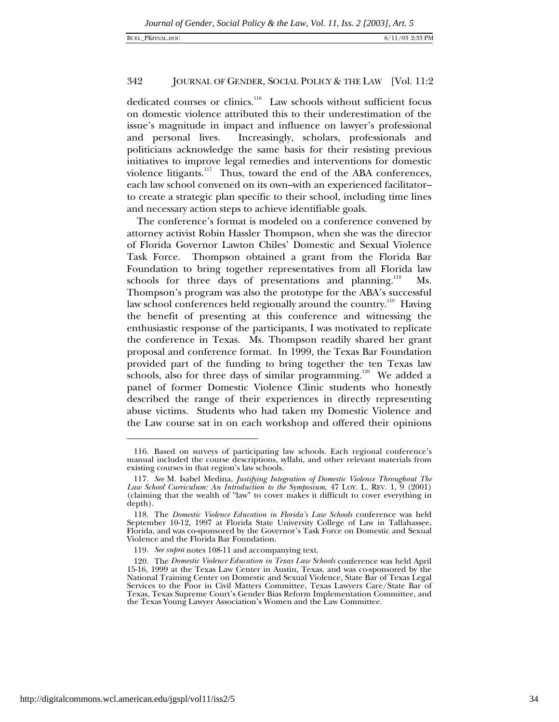dedicated courses or clinics.<sup>116</sup> Law schools without sufficient focus on domestic violence attributed this to their underestimation of the issue's magnitude in impact and influence on lawyer's professional and personal lives. Increasingly, scholars, professionals and politicians acknowledge the same basis for their resisting previous initiatives to improve legal remedies and interventions for domestic violence litigants.<sup>117</sup> Thus, toward the end of the ABA conferences, each law school convened on its own–with an experienced facilitator– to create a strategic plan specific to their school, including time lines and necessary action steps to achieve identifiable goals.

The conference's format is modeled on a conference convened by attorney activist Robin Hassler Thompson, when she was the director of Florida Governor Lawton Chiles' Domestic and Sexual Violence Task Force. Thompson obtained a grant from the Florida Bar Foundation to bring together representatives from all Florida law schools for three days of presentations and planning.<sup>118</sup> Ms. Thompson's program was also the prototype for the ABA's successful law school conferences held regionally around the country.<sup>119</sup> Having the benefit of presenting at this conference and witnessing the enthusiastic response of the participants, I was motivated to replicate the conference in Texas. Ms. Thompson readily shared her grant proposal and conference format. In 1999, the Texas Bar Foundation provided part of the funding to bring together the ten Texas law schools, also for three days of similar programming.<sup>120</sup> We added a panel of former Domestic Violence Clinic students who honestly described the range of their experiences in directly representing abuse victims. Students who had taken my Domestic Violence and the Law course sat in on each workshop and offered their opinions

<sup>116.</sup> Based on surveys of participating law schools. Each regional conference's manual included the course descriptions, syllabi, and other relevant materials from existing courses in that region's law schools.

<sup>117</sup>*. See* M. Isabel Medina, *Justifying Integration of Domestic Violence Throughout The Law School Curriculum: An Introduction to the Symposium*, 47 LOY. L. REV. 1, 9 (2001) (claiming that the wealth of "law" to cover makes it difficult to cover everything in depth).

<sup>118.</sup> The *Domestic Violence Education in Florida's Law Schools* conference was held September 10-12, 1997 at Florida State University College of Law in Tallahassee, Florida, and was co-sponsored by the Governor's Task Force on Domestic and Sexual Violence and the Florida Bar Foundation.

<sup>119</sup>*. See supra* notes 108-11 and accompanying text.

<sup>120.</sup> The *Domestic Violence Education in Texas Law Schools* conference was held April 15-16, 1999 at the Texas Law Center in Austin, Texas, and was co-sponsored by the National Training Center on Domestic and Sexual Violence, State Bar of Texas Legal Services to the Poor in Civil Matters Committee, Texas Lawyers Care/State Bar of Texas, Texas Supreme Court's Gender Bias Reform Implementation Committee, and the Texas Young Lawyer Association's Women and the Law Committee.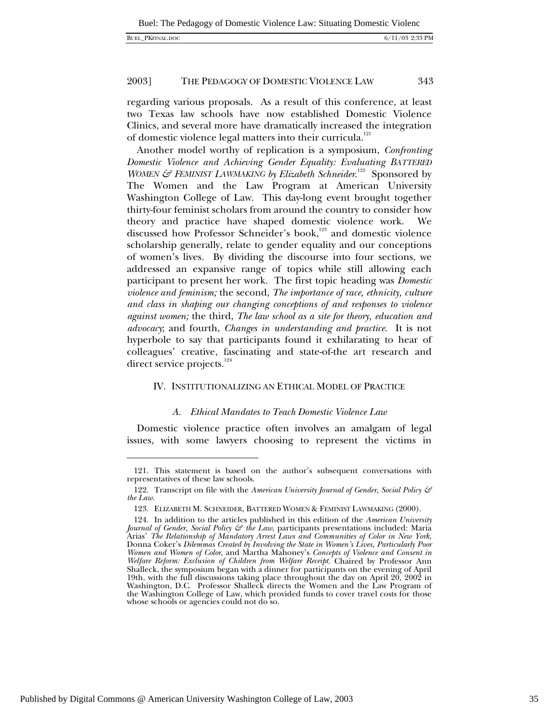$\overline{a}$ 

#### 2003] THE PEDAGOGY OF DOMESTIC VIOLENCE LAW 343

regarding various proposals. As a result of this conference, at least two Texas law schools have now established Domestic Violence Clinics, and several more have dramatically increased the integration of domestic violence legal matters into their curricula.<sup>121</sup>

Another model worthy of replication is a symposium, *Confronting Domestic Violence and Achieving Gender Equality: Evaluating BATTERED* WOMEN & FEMINIST LAWMAKING by Elizabeth Schneider.<sup>122</sup> Sponsored by The Women and the Law Program at American University Washington College of Law. This day-long event brought together thirty-four feminist scholars from around the country to consider how theory and practice have shaped domestic violence work. We discussed how Professor Schneider's book,<sup>123</sup> and domestic violence scholarship generally, relate to gender equality and our conceptions of women's lives. By dividing the discourse into four sections, we addressed an expansive range of topics while still allowing each participant to present her work. The first topic heading was *Domestic violence and feminism;* the second, *The importance of race, ethnicity, culture and class in shaping our changing conceptions of and responses to violence against women;* the third, *The law school as a site for theory, education and advocacy*; and fourth, *Changes in understanding and practice*. It is not hyperbole to say that participants found it exhilarating to hear of colleagues' creative, fascinating and state-of-the art research and direct service projects. $124$ 

#### IV. INSTITUTIONALIZING AN ETHICAL MODEL OF PRACTICE

#### *A. Ethical Mandates to Teach Domestic Violence Law*

Domestic violence practice often involves an amalgam of legal issues, with some lawyers choosing to represent the victims in

<sup>121.</sup> This statement is based on the author's subsequent conversations with representatives of these law schools.

<sup>122.</sup> Transcript on file with the *American University Journal of Gender, Social Policy & the Law*.

<sup>123.</sup> ELIZABETH M. SCHNEIDER, BATTERED WOMEN & FEMINIST LAWMAKING (2000).

<sup>124.</sup> In addition to the articles published in this edition of the *American University Journal of Gender, Social Policy & the Law*, participants presentations included: Maria Arias' *The Relationship of Mandatory Arrest Laws and Communities of Color in New York*, Donna Coker's *Dilemmas Created by Involving the State in Women's Lives, Particularly Poor Women and Women of Color*, and Martha Mahoney's *Concepts of Violence and Consent in Welfare Reform: Exclusion of Children from Welfare Receipt*. Chaired by Professor Ann Shalleck, the symposium began with a dinner for participants on the evening of April 19th, with the full discussions taking place throughout the day on April 20, 2002 in Washington, D.C. Professor Shalleck directs the Women and the Law Program of the Washington College of Law, which provided funds to cover travel costs for those whose schools or agencies could not do so.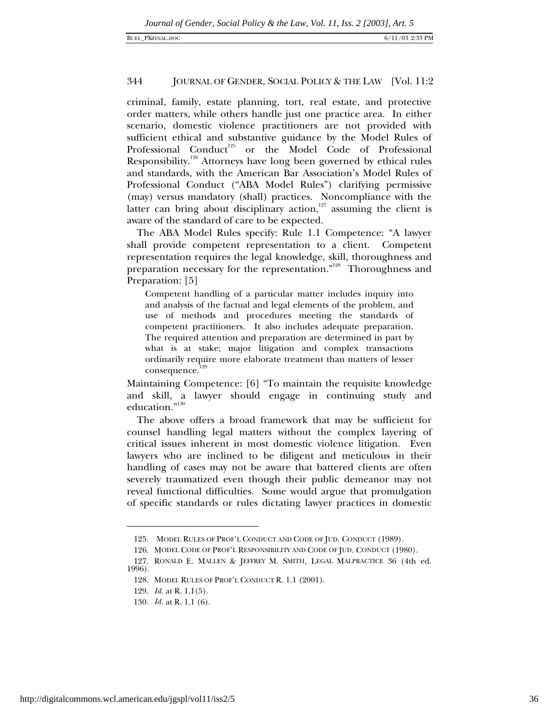criminal, family, estate planning, tort, real estate, and protective order matters, while others handle just one practice area. In either scenario, domestic violence practitioners are not provided with sufficient ethical and substantive guidance by the Model Rules of Professional Conduct<sup>125</sup> or the Model Code of Professional Responsibility.<sup>126</sup> Attorneys have long been governed by ethical rules and standards, with the American Bar Association's Model Rules of Professional Conduct ("ABA Model Rules") clarifying permissive (may) versus mandatory (shall) practices. Noncompliance with the latter can bring about disciplinary action, $127$  assuming the client is aware of the standard of care to be expected.

The ABA Model Rules specify: Rule 1.1 Competence: "A lawyer shall provide competent representation to a client. Competent representation requires the legal knowledge, skill, thoroughness and preparation necessary for the representation."<sup>128</sup> Thoroughness and Preparation: [5]

Competent handling of a particular matter includes inquiry into and analysis of the factual and legal elements of the problem, and use of methods and procedures meeting the standards of competent practitioners. It also includes adequate preparation. The required attention and preparation are determined in part by what is at stake; major litigation and complex transactions ordinarily require more elaborate treatment than matters of lesser consequence.<sup>129</sup>

Maintaining Competence: [6] "To maintain the requisite knowledge and skill, a lawyer should engage in continuing study and education."130

The above offers a broad framework that may be sufficient for counsel handling legal matters without the complex layering of critical issues inherent in most domestic violence litigation. Even lawyers who are inclined to be diligent and meticulous in their handling of cases may not be aware that battered clients are often severely traumatized even though their public demeanor may not reveal functional difficulties. Some would argue that promulgation of specific standards or rules dictating lawyer practices in domestic

<sup>125.</sup> MODEL RULES OF PROF'L CONDUCT AND CODE OF JUD. CONDUCT (1989).

<sup>126.</sup> MODEL CODE OF PROF'L RESPONSIBILITY AND CODE OF JUD. CONDUCT (1980).

<sup>127.</sup> RONALD E. MALLEN & JEFFREY M. SMITH, LEGAL MALPRACTICE 36 (4th ed. 1996).

<sup>128.</sup> MODEL RULES OF PROF'L CONDUCT R. 1.1 (2001).

<sup>129</sup>*. Id.* at R. 1.1(5).

<sup>130</sup>*. Id.* at R. 1.1 (6).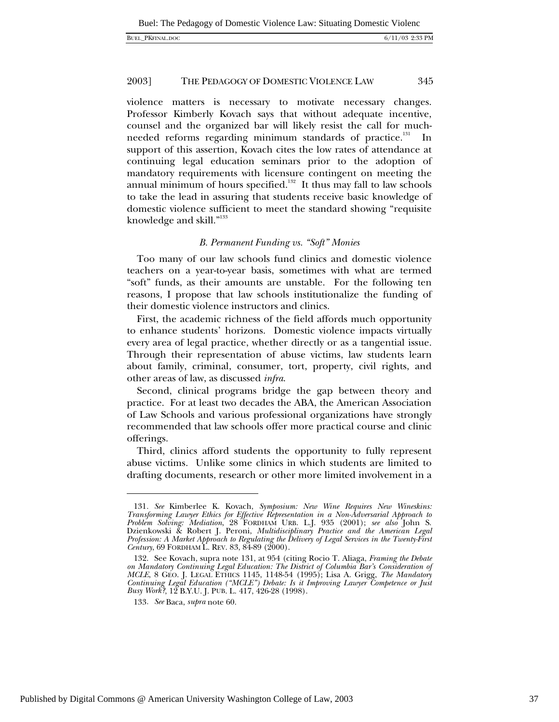| <b>BUEL PKFINAL.DOC</b> |  |
|-------------------------|--|
|-------------------------|--|

violence matters is necessary to motivate necessary changes. Professor Kimberly Kovach says that without adequate incentive, counsel and the organized bar will likely resist the call for muchneeded reforms regarding minimum standards of practice.<sup>131</sup> support of this assertion, Kovach cites the low rates of attendance at continuing legal education seminars prior to the adoption of mandatory requirements with licensure contingent on meeting the annual minimum of hours specified.<sup>132</sup> It thus may fall to law schools to take the lead in assuring that students receive basic knowledge of domestic violence sufficient to meet the standard showing "requisite knowledge and skill."<sup>133</sup>

#### *B. Permanent Funding vs. "Soft" Monies*

Too many of our law schools fund clinics and domestic violence teachers on a year-to-year basis, sometimes with what are termed "soft" funds, as their amounts are unstable. For the following ten reasons, I propose that law schools institutionalize the funding of their domestic violence instructors and clinics.

First, the academic richness of the field affords much opportunity to enhance students' horizons. Domestic violence impacts virtually every area of legal practice, whether directly or as a tangential issue. Through their representation of abuse victims, law students learn about family, criminal, consumer, tort, property, civil rights, and other areas of law, as discussed *infra*.

Second, clinical programs bridge the gap between theory and practice. For at least two decades the ABA, the American Association of Law Schools and various professional organizations have strongly recommended that law schools offer more practical course and clinic offerings.

Third, clinics afford students the opportunity to fully represent abuse victims. Unlike some clinics in which students are limited to drafting documents, research or other more limited involvement in a

<sup>131</sup>*. See* Kimberlee K. Kovach, *Symposium: New Wine Requires New Wineskins: Transforming Lawyer Ethics for Effective Representation in a Non-Adversarial Approach to Problem Solving: Mediation*, 28 FORDHAM URB. L.J. 935 (2001); *see also* John S. Dzienkowski & Robert J. Peroni, *Multidisciplinary Practice and the American Legal Profession: A Market Approach to Regulating the Delivery of Legal Services in the Twenty-First Century*, 69 FORDHAM L. REV. 83, 84-89 (2000).

<sup>132.</sup> See Kovach, supra note 131, at 954 (citing Rocio T. Aliaga, *Framing the Debate on Mandatory Continuing Legal Education: The District of Columbia Bar's Consideration of MCLE*, 8 GEO. J. LEGAL ETHICS 1145, 1148-54 (1995); Lisa A. Grigg, *The Mandatory Continuing Legal Education ("MCLE") Debate: Is it Improving Lawyer Competence or Just Busy Work?*, 12 B.Y.U. J. PUB. L. 417, 426-28 (1998).

<sup>133</sup>*. See* Baca, *supra* note 60.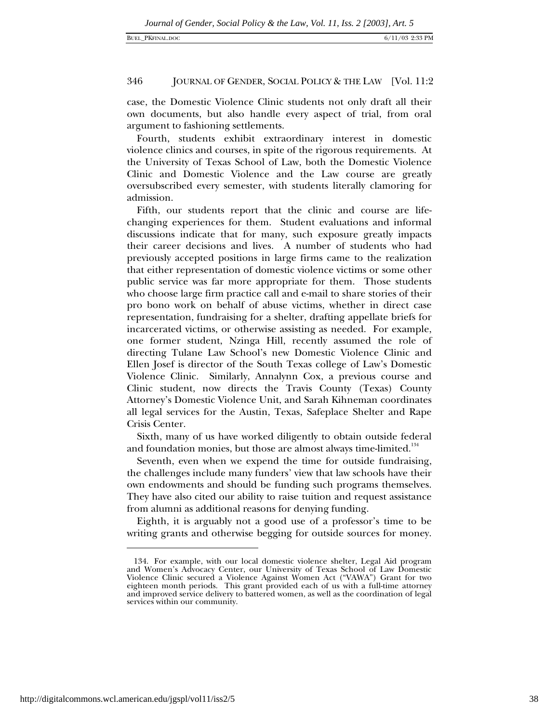case, the Domestic Violence Clinic students not only draft all their own documents, but also handle every aspect of trial, from oral argument to fashioning settlements.

Fourth, students exhibit extraordinary interest in domestic violence clinics and courses, in spite of the rigorous requirements. At the University of Texas School of Law, both the Domestic Violence Clinic and Domestic Violence and the Law course are greatly oversubscribed every semester, with students literally clamoring for admission.

Fifth, our students report that the clinic and course are lifechanging experiences for them. Student evaluations and informal discussions indicate that for many, such exposure greatly impacts their career decisions and lives. A number of students who had previously accepted positions in large firms came to the realization that either representation of domestic violence victims or some other public service was far more appropriate for them. Those students who choose large firm practice call and e-mail to share stories of their pro bono work on behalf of abuse victims, whether in direct case representation, fundraising for a shelter, drafting appellate briefs for incarcerated victims, or otherwise assisting as needed. For example, one former student, Nzinga Hill, recently assumed the role of directing Tulane Law School's new Domestic Violence Clinic and Ellen Josef is director of the South Texas college of Law's Domestic Violence Clinic. Similarly, Annalynn Cox, a previous course and Clinic student, now directs the Travis County (Texas) County Attorney's Domestic Violence Unit, and Sarah Kihneman coordinates all legal services for the Austin, Texas, Safeplace Shelter and Rape Crisis Center.

Sixth, many of us have worked diligently to obtain outside federal and foundation monies, but those are almost always time-limited.<sup>134</sup>

Seventh, even when we expend the time for outside fundraising, the challenges include many funders' view that law schools have their own endowments and should be funding such programs themselves. They have also cited our ability to raise tuition and request assistance from alumni as additional reasons for denying funding.

Eighth, it is arguably not a good use of a professor's time to be writing grants and otherwise begging for outside sources for money.

<sup>134.</sup> For example, with our local domestic violence shelter, Legal Aid program and Women's Advocacy Center, our University of Texas School of Law Domestic Violence Clinic secured a Violence Against Women Act ("VAWA") Grant for two eighteen month periods. This grant provided each of us with a full-time attorney and improved service delivery to battered women, as well as the coordination of legal services within our community.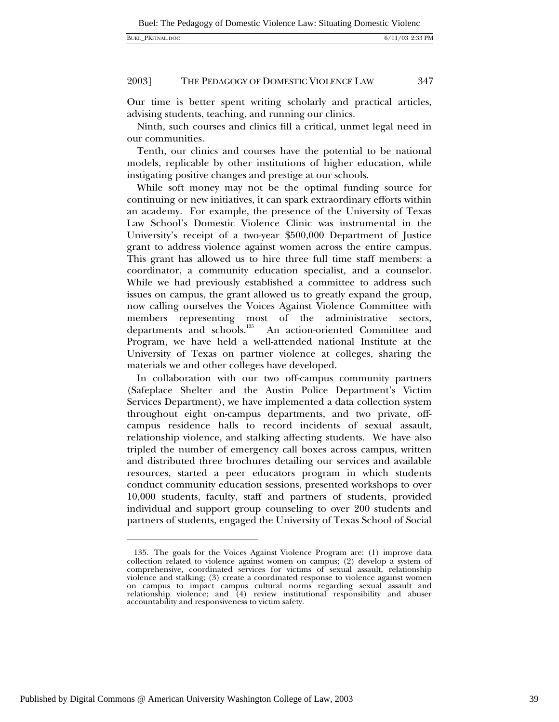Our time is better spent writing scholarly and practical articles, advising students, teaching, and running our clinics.

Ninth, such courses and clinics fill a critical, unmet legal need in our communities.

Tenth, our clinics and courses have the potential to be national models, replicable by other institutions of higher education, while instigating positive changes and prestige at our schools.

While soft money may not be the optimal funding source for continuing or new initiatives, it can spark extraordinary efforts within an academy. For example, the presence of the University of Texas Law School's Domestic Violence Clinic was instrumental in the University's receipt of a two-year \$500,000 Department of Justice grant to address violence against women across the entire campus. This grant has allowed us to hire three full time staff members: a coordinator, a community education specialist, and a counselor. While we had previously established a committee to address such issues on campus, the grant allowed us to greatly expand the group, now calling ourselves the Voices Against Violence Committee with members representing most of the administrative sectors, departments and schools.<sup>135</sup> An action-oriented Committee and An action-oriented Committee and Program, we have held a well-attended national Institute at the University of Texas on partner violence at colleges, sharing the materials we and other colleges have developed.

In collaboration with our two off-campus community partners (Safeplace Shelter and the Austin Police Department's Victim Services Department), we have implemented a data collection system throughout eight on-campus departments, and two private, offcampus residence halls to record incidents of sexual assault, relationship violence, and stalking affecting students. We have also tripled the number of emergency call boxes across campus, written and distributed three brochures detailing our services and available resources, started a peer educators program in which students conduct community education sessions, presented workshops to over 10,000 students, faculty, staff and partners of students, provided individual and support group counseling to over 200 students and partners of students, engaged the University of Texas School of Social

Published by Digital Commons @ American University Washington College of Law, 2003

<sup>135.</sup> The goals for the Voices Against Violence Program are: (1) improve data collection related to violence against women on campus; (2) develop a system of comprehensive, coordinated services for victims of sexual assault, relationship violence and stalking; (3) create a coordinated response to violence against women on campus to impact campus cultural norms regarding sexual assault and relationship violence; and (4) review institutional responsibility and abuser accountability and responsiveness to victim safety.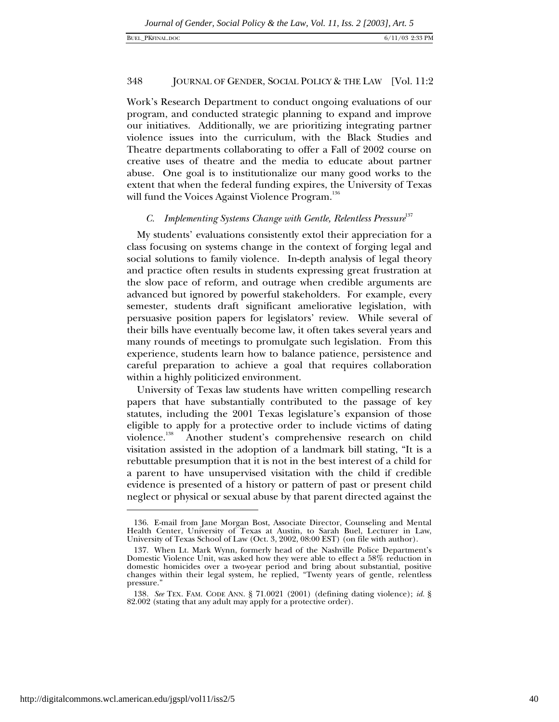Work's Research Department to conduct ongoing evaluations of our program, and conducted strategic planning to expand and improve our initiatives. Additionally, we are prioritizing integrating partner violence issues into the curriculum, with the Black Studies and Theatre departments collaborating to offer a Fall of 2002 course on creative uses of theatre and the media to educate about partner abuse. One goal is to institutionalize our many good works to the extent that when the federal funding expires, the University of Texas will fund the Voices Against Violence Program.<sup>136</sup>

### *C. Implementing Systems Change with Gentle, Relentless Pressure*<sup>137</sup>

My students' evaluations consistently extol their appreciation for a class focusing on systems change in the context of forging legal and social solutions to family violence. In-depth analysis of legal theory and practice often results in students expressing great frustration at the slow pace of reform, and outrage when credible arguments are advanced but ignored by powerful stakeholders. For example, every semester, students draft significant ameliorative legislation, with persuasive position papers for legislators' review. While several of their bills have eventually become law, it often takes several years and many rounds of meetings to promulgate such legislation. From this experience, students learn how to balance patience, persistence and careful preparation to achieve a goal that requires collaboration within a highly politicized environment.

University of Texas law students have written compelling research papers that have substantially contributed to the passage of key statutes, including the 2001 Texas legislature's expansion of those eligible to apply for a protective order to include victims of dating<br>violence.<sup>138</sup> Another student's comprehensive research on child Another student's comprehensive research on child visitation assisted in the adoption of a landmark bill stating, "It is a rebuttable presumption that it is not in the best interest of a child for a parent to have unsupervised visitation with the child if credible evidence is presented of a history or pattern of past or present child neglect or physical or sexual abuse by that parent directed against the

<sup>136.</sup> E-mail from Jane Morgan Bost, Associate Director, Counseling and Mental Health Center, University of Texas at Austin, to Sarah Buel, Lecturer in Law, University of Texas School of Law (Oct. 3, 2002, 08:00 EST) (on file with author).

<sup>137.</sup> When Lt. Mark Wynn, formerly head of the Nashville Police Department's Domestic Violence Unit, was asked how they were able to effect a 58% reduction in domestic homicides over a two-year period and bring about substantial, positive changes within their legal system, he replied, "Twenty years of gentle, relentless pressure.'

<sup>138</sup>*. See* TEX. FAM. CODE ANN. § 71.0021 (2001) (defining dating violence); *id.* § 82.002 (stating that any adult may apply for a protective order).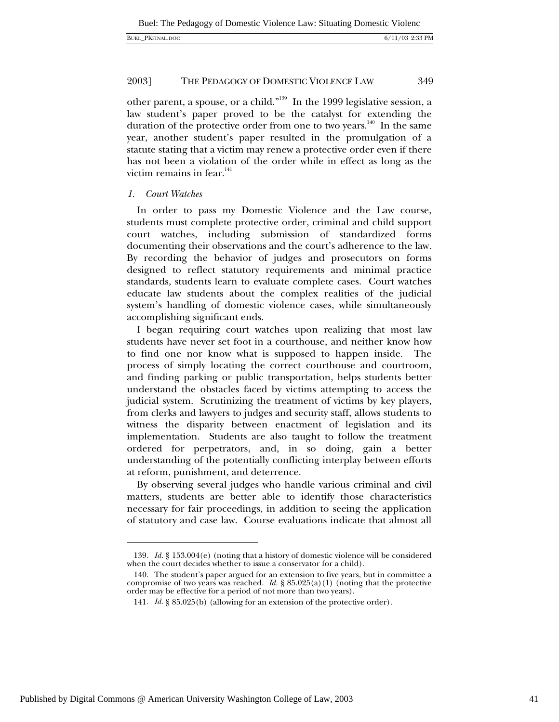other parent, a spouse, or a child."139 In the 1999 legislative session, a law student's paper proved to be the catalyst for extending the duration of the protective order from one to two years.<sup>140</sup> In the same year, another student's paper resulted in the promulgation of a statute stating that a victim may renew a protective order even if there has not been a violation of the order while in effect as long as the victim remains in fear.<sup>141</sup>

#### *1. Court Watches*

In order to pass my Domestic Violence and the Law course, students must complete protective order, criminal and child support court watches, including submission of standardized forms documenting their observations and the court's adherence to the law. By recording the behavior of judges and prosecutors on forms designed to reflect statutory requirements and minimal practice standards, students learn to evaluate complete cases. Court watches educate law students about the complex realities of the judicial system's handling of domestic violence cases, while simultaneously accomplishing significant ends.

I began requiring court watches upon realizing that most law students have never set foot in a courthouse, and neither know how to find one nor know what is supposed to happen inside. The process of simply locating the correct courthouse and courtroom, and finding parking or public transportation, helps students better understand the obstacles faced by victims attempting to access the judicial system. Scrutinizing the treatment of victims by key players, from clerks and lawyers to judges and security staff, allows students to witness the disparity between enactment of legislation and its implementation. Students are also taught to follow the treatment ordered for perpetrators, and, in so doing, gain a better understanding of the potentially conflicting interplay between efforts at reform, punishment, and deterrence.

By observing several judges who handle various criminal and civil matters, students are better able to identify those characteristics necessary for fair proceedings, in addition to seeing the application of statutory and case law. Course evaluations indicate that almost all

<sup>139</sup>*. Id.* § 153.004(e) (noting that a history of domestic violence will be considered when the court decides whether to issue a conservator for a child).

<sup>140.</sup> The student's paper argued for an extension to five years, but in committee a compromise of two years was reached. *Id.*  $\S 85.025(a)(1)$  (noting that the protective order may be effective for a period of not more than two years).

<sup>141</sup>*. Id.* § 85.025(b) (allowing for an extension of the protective order).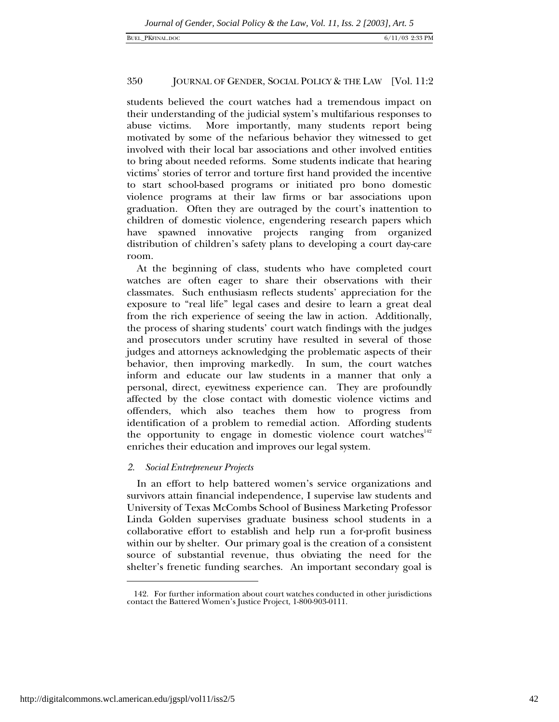students believed the court watches had a tremendous impact on their understanding of the judicial system's multifarious responses to abuse victims. More importantly, many students report being motivated by some of the nefarious behavior they witnessed to get involved with their local bar associations and other involved entities to bring about needed reforms. Some students indicate that hearing victims' stories of terror and torture first hand provided the incentive to start school-based programs or initiated pro bono domestic violence programs at their law firms or bar associations upon graduation. Often they are outraged by the court's inattention to children of domestic violence, engendering research papers which have spawned innovative projects ranging from organized distribution of children's safety plans to developing a court day-care room.

At the beginning of class, students who have completed court watches are often eager to share their observations with their classmates. Such enthusiasm reflects students' appreciation for the exposure to "real life" legal cases and desire to learn a great deal from the rich experience of seeing the law in action. Additionally, the process of sharing students' court watch findings with the judges and prosecutors under scrutiny have resulted in several of those judges and attorneys acknowledging the problematic aspects of their behavior, then improving markedly. In sum, the court watches inform and educate our law students in a manner that only a personal, direct, eyewitness experience can. They are profoundly affected by the close contact with domestic violence victims and offenders, which also teaches them how to progress from identification of a problem to remedial action. Affording students the opportunity to engage in domestic violence court watches<sup>142</sup> enriches their education and improves our legal system.

#### *2. Social Entrepreneur Projects*

In an effort to help battered women's service organizations and survivors attain financial independence, I supervise law students and University of Texas McCombs School of Business Marketing Professor Linda Golden supervises graduate business school students in a collaborative effort to establish and help run a for-profit business within our by shelter. Our primary goal is the creation of a consistent source of substantial revenue, thus obviating the need for the shelter's frenetic funding searches. An important secondary goal is

<sup>142.</sup> For further information about court watches conducted in other jurisdictions contact the Battered Women's Justice Project, 1-800-903-0111.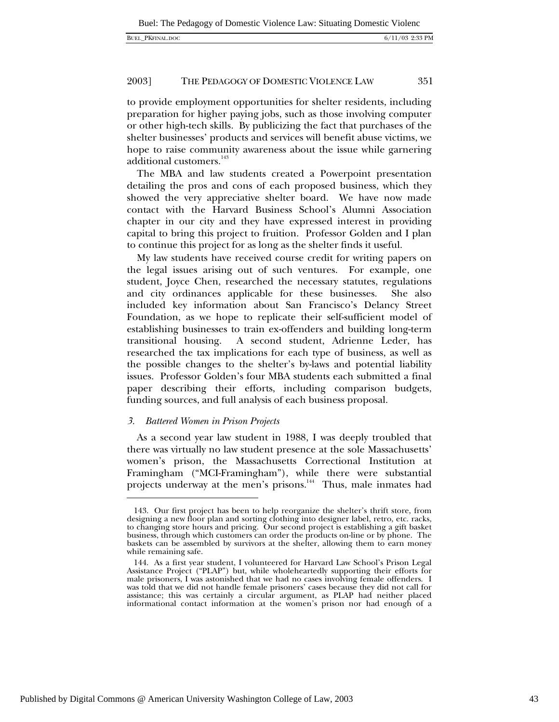| <b>BUEL PKFINAL.DOG</b> |  |
|-------------------------|--|
|-------------------------|--|

to provide employment opportunities for shelter residents, including preparation for higher paying jobs, such as those involving computer or other high-tech skills. By publicizing the fact that purchases of the shelter businesses' products and services will benefit abuse victims, we hope to raise community awareness about the issue while garnering additional customers.<sup>143</sup>

The MBA and law students created a Powerpoint presentation detailing the pros and cons of each proposed business, which they showed the very appreciative shelter board. We have now made contact with the Harvard Business School's Alumni Association chapter in our city and they have expressed interest in providing capital to bring this project to fruition. Professor Golden and I plan to continue this project for as long as the shelter finds it useful.

My law students have received course credit for writing papers on the legal issues arising out of such ventures. For example, one student, Joyce Chen, researched the necessary statutes, regulations and city ordinances applicable for these businesses. She also included key information about San Francisco's Delancy Street Foundation, as we hope to replicate their self-sufficient model of establishing businesses to train ex-offenders and building long-term transitional housing. A second student, Adrienne Leder, has researched the tax implications for each type of business, as well as the possible changes to the shelter's by-laws and potential liability issues. Professor Golden's four MBA students each submitted a final paper describing their efforts, including comparison budgets, funding sources, and full analysis of each business proposal.

#### *3. Battered Women in Prison Projects*

-

As a second year law student in 1988, I was deeply troubled that there was virtually no law student presence at the sole Massachusetts' women's prison, the Massachusetts Correctional Institution at Framingham ("MCI-Framingham"), while there were substantial projects underway at the men's prisons.<sup>144</sup> Thus, male inmates had

<sup>143.</sup> Our first project has been to help reorganize the shelter's thrift store, from designing a new floor plan and sorting clothing into designer label, retro, etc. racks, to changing store hours and pricing. Our second project is establishing a gift basket business, through which customers can order the products on-line or by phone. The baskets can be assembled by survivors at the shelter, allowing them to earn money while remaining safe.

<sup>144.</sup> As a first year student, I volunteered for Harvard Law School's Prison Legal Assistance Project ("PLAP") but, while wholeheartedly supporting their efforts for male prisoners, I was astonished that we had no cases involving female offenders. I was told that we did not handle female prisoners' cases because they did not call for assistance; this was certainly a circular argument, as PLAP had neither placed informational contact information at the women's prison nor had enough of a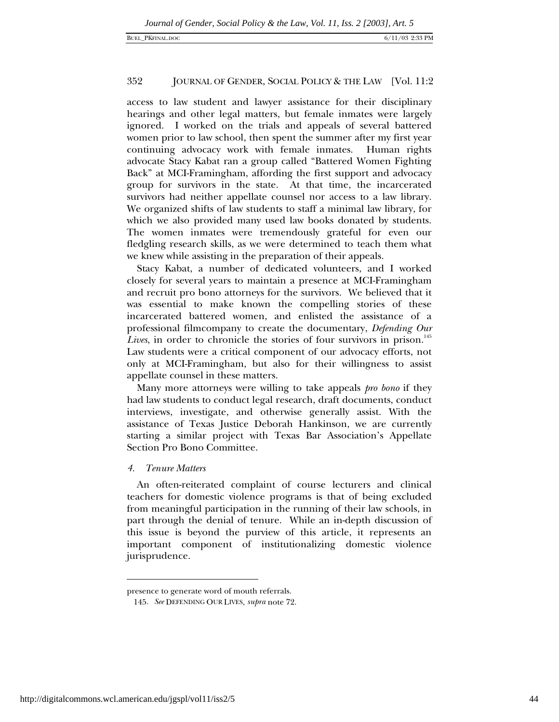access to law student and lawyer assistance for their disciplinary hearings and other legal matters, but female inmates were largely ignored. I worked on the trials and appeals of several battered women prior to law school, then spent the summer after my first year continuing advocacy work with female inmates. Human rights advocate Stacy Kabat ran a group called "Battered Women Fighting Back" at MCI-Framingham, affording the first support and advocacy group for survivors in the state. At that time, the incarcerated survivors had neither appellate counsel nor access to a law library. We organized shifts of law students to staff a minimal law library, for which we also provided many used law books donated by students. The women inmates were tremendously grateful for even our fledgling research skills, as we were determined to teach them what we knew while assisting in the preparation of their appeals.

Stacy Kabat, a number of dedicated volunteers, and I worked closely for several years to maintain a presence at MCI-Framingham and recruit pro bono attorneys for the survivors. We believed that it was essential to make known the compelling stories of these incarcerated battered women, and enlisted the assistance of a professional filmcompany to create the documentary, *Defending Our Lives*, in order to chronicle the stories of four survivors in prison.<sup>145</sup> Law students were a critical component of our advocacy efforts, not only at MCI-Framingham, but also for their willingness to assist appellate counsel in these matters.

Many more attorneys were willing to take appeals *pro bono* if they had law students to conduct legal research, draft documents, conduct interviews, investigate, and otherwise generally assist. With the assistance of Texas Justice Deborah Hankinson, we are currently starting a similar project with Texas Bar Association's Appellate Section Pro Bono Committee.

#### *4. Tenure Matters*

An often-reiterated complaint of course lecturers and clinical teachers for domestic violence programs is that of being excluded from meaningful participation in the running of their law schools, in part through the denial of tenure. While an in-depth discussion of this issue is beyond the purview of this article, it represents an important component of institutionalizing domestic violence jurisprudence.

1

presence to generate word of mouth referrals.

<sup>145</sup>*. See* DEFENDING OUR LIVES, *supra* note 72.